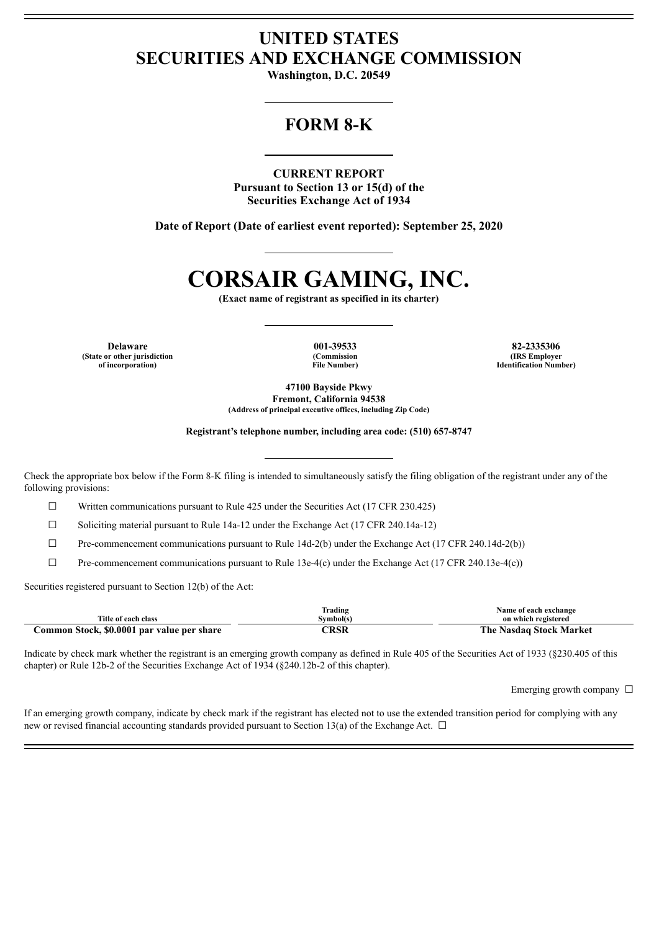# **UNITED STATES SECURITIES AND EXCHANGE COMMISSION**

**Washington, D.C. 20549**

## **FORM 8-K**

**CURRENT REPORT Pursuant to Section 13 or 15(d) of the Securities Exchange Act of 1934**

**Date of Report (Date of earliest event reported): September 25, 2020**

# **CORSAIR GAMING, INC.**

**(Exact name of registrant as specified in its charter)**

**(State or other jurisdiction of incorporation)**

**(Commission File Number)**

**Delaware 001-39533 82-2335306 (IRS Employer Identification Number)**

**47100 Bayside Pkwy**

**Fremont, California 94538 (Address of principal executive offices, including Zip Code)**

**Registrant's telephone number, including area code: (510) 657-8747**

Check the appropriate box below if the Form 8-K filing is intended to simultaneously satisfy the filing obligation of the registrant under any of the following provisions:

 $\Box$  Written communications pursuant to Rule 425 under the Securities Act (17 CFR 230.425)

☐ Soliciting material pursuant to Rule 14a-12 under the Exchange Act (17 CFR 240.14a-12)

 $\Box$  Pre-commencement communications pursuant to Rule 14d-2(b) under the Exchange Act (17 CFR 240.14d-2(b))

 $\Box$  Pre-commencement communications pursuant to Rule 13e-4(c) under the Exchange Act (17 CFR 240.13e-4(c))

Securities registered pursuant to Section 12(b) of the Act:

|                                            | frading     | Name of each exchange          |
|--------------------------------------------|-------------|--------------------------------|
| Title of each class                        | Svmbol(s`   | on which registered            |
| Common Stock, \$0,0001 par value per share | <b>TRSR</b> | <b>The Nasdaq Stock Market</b> |

Indicate by check mark whether the registrant is an emerging growth company as defined in Rule 405 of the Securities Act of 1933 (§230.405 of this chapter) or Rule 12b-2 of the Securities Exchange Act of 1934 (§240.12b-2 of this chapter).

Emerging growth company  $\Box$ 

If an emerging growth company, indicate by check mark if the registrant has elected not to use the extended transition period for complying with any new or revised financial accounting standards provided pursuant to Section 13(a) of the Exchange Act.  $\Box$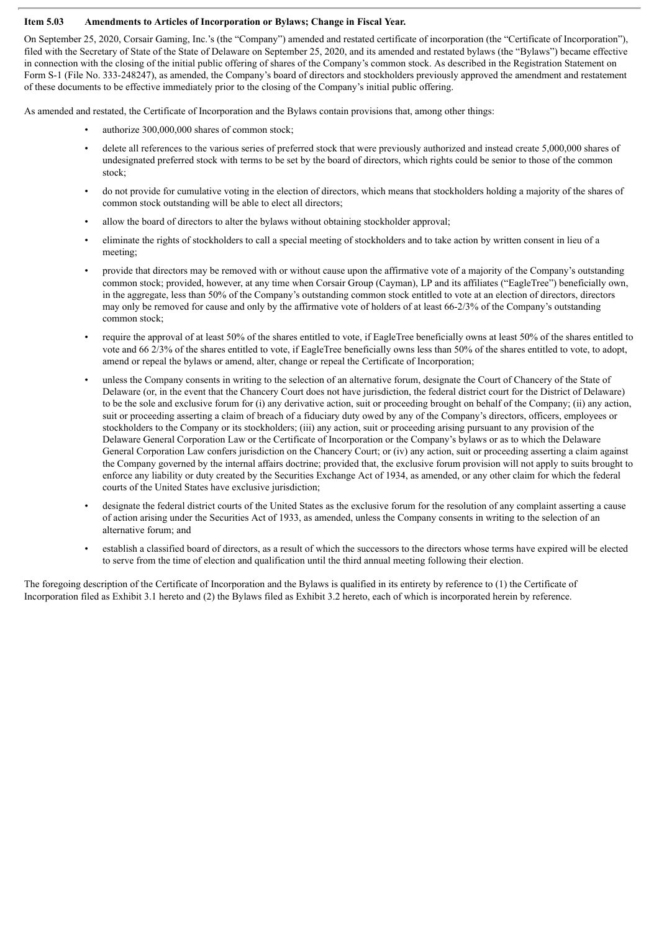### **Item 5.03 Amendments to Articles of Incorporation or Bylaws; Change in Fiscal Year.**

On September 25, 2020, Corsair Gaming, Inc.'s (the "Company") amended and restated certificate of incorporation (the "Certificate of Incorporation"), filed with the Secretary of State of the State of Delaware on September 25, 2020, and its amended and restated bylaws (the "Bylaws") became effective in connection with the closing of the initial public offering of shares of the Company's common stock. As described in the Registration Statement on Form S-1 (File No. 333-248247), as amended, the Company's board of directors and stockholders previously approved the amendment and restatement of these documents to be effective immediately prior to the closing of the Company's initial public offering.

As amended and restated, the Certificate of Incorporation and the Bylaws contain provisions that, among other things:

- authorize 300,000,000 shares of common stock;
- delete all references to the various series of preferred stock that were previously authorized and instead create 5,000,000 shares of undesignated preferred stock with terms to be set by the board of directors, which rights could be senior to those of the common stock;
- do not provide for cumulative voting in the election of directors, which means that stockholders holding a majority of the shares of common stock outstanding will be able to elect all directors;
- allow the board of directors to alter the bylaws without obtaining stockholder approval;
- eliminate the rights of stockholders to call a special meeting of stockholders and to take action by written consent in lieu of a meeting;
- provide that directors may be removed with or without cause upon the affirmative vote of a majority of the Company's outstanding common stock; provided, however, at any time when Corsair Group (Cayman), LP and its affiliates ("EagleTree") beneficially own, in the aggregate, less than 50% of the Company's outstanding common stock entitled to vote at an election of directors, directors may only be removed for cause and only by the affirmative vote of holders of at least 66-2/3% of the Company's outstanding common stock;
- require the approval of at least 50% of the shares entitled to vote, if EagleTree beneficially owns at least 50% of the shares entitled to vote and 66 2/3% of the shares entitled to vote, if EagleTree beneficially owns less than 50% of the shares entitled to vote, to adopt, amend or repeal the bylaws or amend, alter, change or repeal the Certificate of Incorporation;
- unless the Company consents in writing to the selection of an alternative forum, designate the Court of Chancery of the State of Delaware (or, in the event that the Chancery Court does not have jurisdiction, the federal district court for the District of Delaware) to be the sole and exclusive forum for (i) any derivative action, suit or proceeding brought on behalf of the Company; (ii) any action, suit or proceeding asserting a claim of breach of a fiduciary duty owed by any of the Company's directors, officers, employees or stockholders to the Company or its stockholders; (iii) any action, suit or proceeding arising pursuant to any provision of the Delaware General Corporation Law or the Certificate of Incorporation or the Company's bylaws or as to which the Delaware General Corporation Law confers jurisdiction on the Chancery Court; or (iv) any action, suit or proceeding asserting a claim against the Company governed by the internal affairs doctrine; provided that, the exclusive forum provision will not apply to suits brought to enforce any liability or duty created by the Securities Exchange Act of 1934, as amended, or any other claim for which the federal courts of the United States have exclusive jurisdiction;
- designate the federal district courts of the United States as the exclusive forum for the resolution of any complaint asserting a cause of action arising under the Securities Act of 1933, as amended, unless the Company consents in writing to the selection of an alternative forum; and
- establish a classified board of directors, as a result of which the successors to the directors whose terms have expired will be elected to serve from the time of election and qualification until the third annual meeting following their election.

The foregoing description of the Certificate of Incorporation and the Bylaws is qualified in its entirety by reference to (1) the Certificate of Incorporation filed as Exhibit 3.1 hereto and (2) the Bylaws filed as Exhibit 3.2 hereto, each of which is incorporated herein by reference.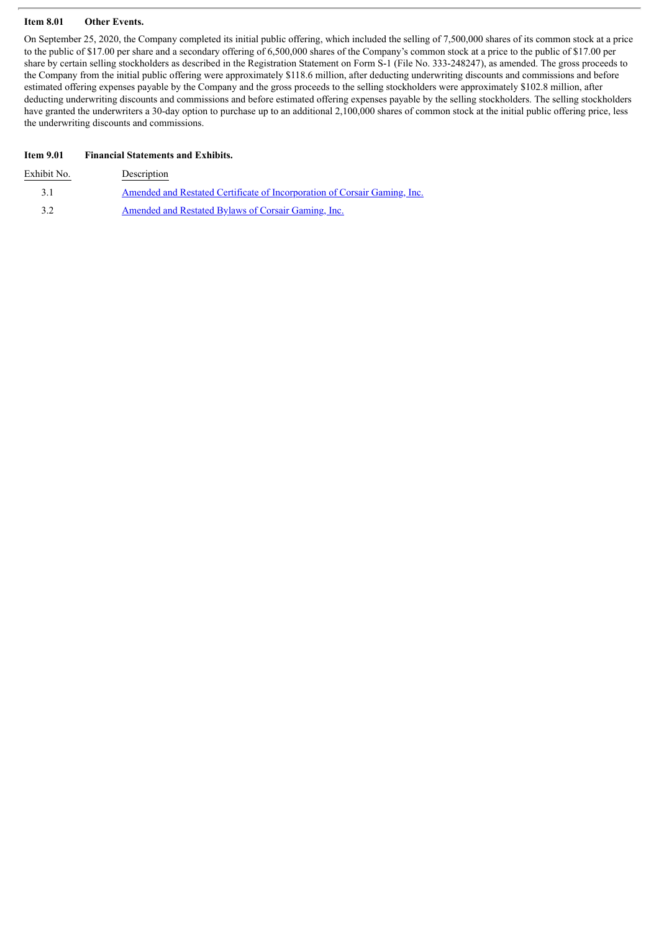### **Item 8.01 Other Events.**

On September 25, 2020, the Company completed its initial public offering, which included the selling of 7,500,000 shares of its common stock at a price to the public of \$17.00 per share and a secondary offering of 6,500,000 shares of the Company's common stock at a price to the public of \$17.00 per share by certain selling stockholders as described in the Registration Statement on Form S-1 (File No. 333-248247), as amended. The gross proceeds to the Company from the initial public offering were approximately \$118.6 million, after deducting underwriting discounts and commissions and before estimated offering expenses payable by the Company and the gross proceeds to the selling stockholders were approximately \$102.8 million, after deducting underwriting discounts and commissions and before estimated offering expenses payable by the selling stockholders. The selling stockholders have granted the underwriters a 30-day option to purchase up to an additional 2,100,000 shares of common stock at the initial public offering price, less the underwriting discounts and commissions.

| Item 9.01 |  | <b>Financial Statements and Exhibits.</b> |  |  |
|-----------|--|-------------------------------------------|--|--|
|-----------|--|-------------------------------------------|--|--|

| Exhibit No. | Description                                                               |
|-------------|---------------------------------------------------------------------------|
| 31          | Amended and Restated Certificate of Incorporation of Corsair Gaming, Inc. |
| 32          | Amended and Restated Bylaws of Corsair Gaming, Inc.                       |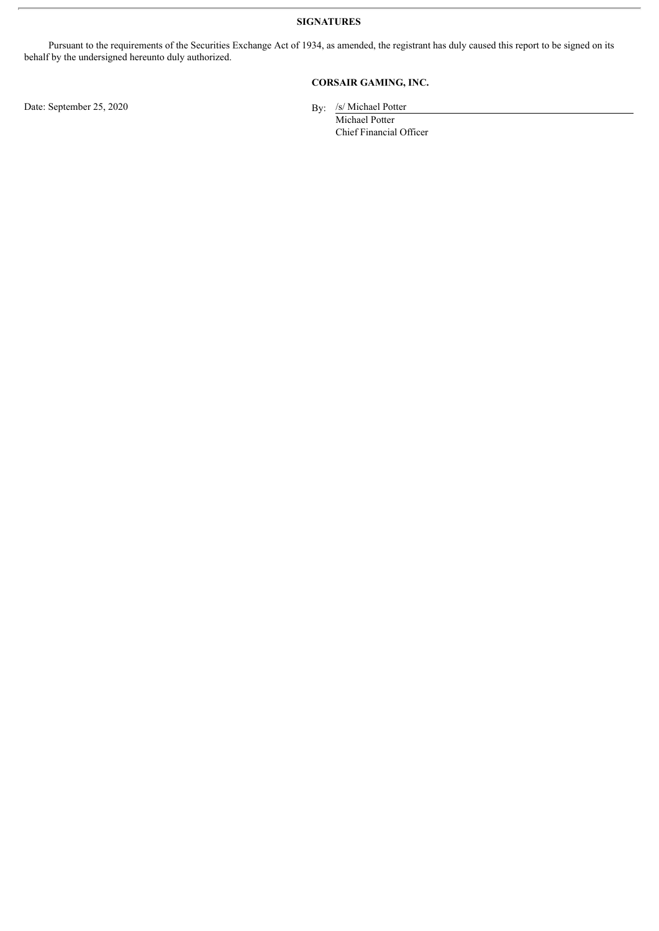**SIGNATURES**

Pursuant to the requirements of the Securities Exchange Act of 1934, as amended, the registrant has duly caused this report to be signed on its behalf by the undersigned hereunto duly authorized.

### **CORSAIR GAMING, INC.**

By: /s/ Michael Potter

Michael Potter Chief Financial Officer

Date: September 25, 2020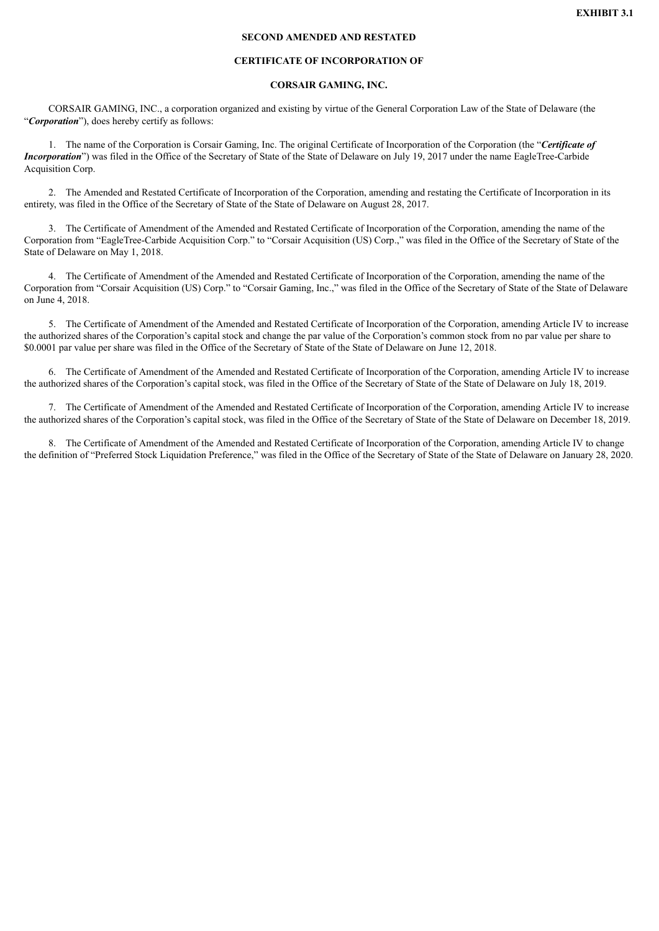### **SECOND AMENDED AND RESTATED**

### **CERTIFICATE OF INCORPORATION OF**

### **CORSAIR GAMING, INC.**

<span id="page-4-0"></span>CORSAIR GAMING, INC., a corporation organized and existing by virtue of the General Corporation Law of the State of Delaware (the "*Corporation*"), does hereby certify as follows:

1. The name of the Corporation is Corsair Gaming, Inc. The original Certificate of Incorporation of the Corporation (the "*Certificate of Incorporation*") was filed in the Office of the Secretary of State of the State of Delaware on July 19, 2017 under the name EagleTree-Carbide Acquisition Corp.

2. The Amended and Restated Certificate of Incorporation of the Corporation, amending and restating the Certificate of Incorporation in its entirety, was filed in the Office of the Secretary of State of the State of Delaware on August 28, 2017.

3. The Certificate of Amendment of the Amended and Restated Certificate of Incorporation of the Corporation, amending the name of the Corporation from "EagleTree-Carbide Acquisition Corp." to "Corsair Acquisition (US) Corp.," was filed in the Office of the Secretary of State of the State of Delaware on May 1, 2018.

4. The Certificate of Amendment of the Amended and Restated Certificate of Incorporation of the Corporation, amending the name of the Corporation from "Corsair Acquisition (US) Corp." to "Corsair Gaming, Inc.," was filed in the Office of the Secretary of State of the State of Delaware on June 4, 2018.

5. The Certificate of Amendment of the Amended and Restated Certificate of Incorporation of the Corporation, amending Article IV to increase the authorized shares of the Corporation's capital stock and change the par value of the Corporation's common stock from no par value per share to \$0.0001 par value per share was filed in the Office of the Secretary of State of the State of Delaware on June 12, 2018.

6. The Certificate of Amendment of the Amended and Restated Certificate of Incorporation of the Corporation, amending Article IV to increase the authorized shares of the Corporation's capital stock, was filed in the Office of the Secretary of State of the State of Delaware on July 18, 2019.

7. The Certificate of Amendment of the Amended and Restated Certificate of Incorporation of the Corporation, amending Article IV to increase the authorized shares of the Corporation's capital stock, was filed in the Office of the Secretary of State of the State of Delaware on December 18, 2019.

8. The Certificate of Amendment of the Amended and Restated Certificate of Incorporation of the Corporation, amending Article IV to change the definition of "Preferred Stock Liquidation Preference," was filed in the Office of the Secretary of State of the State of Delaware on January 28, 2020.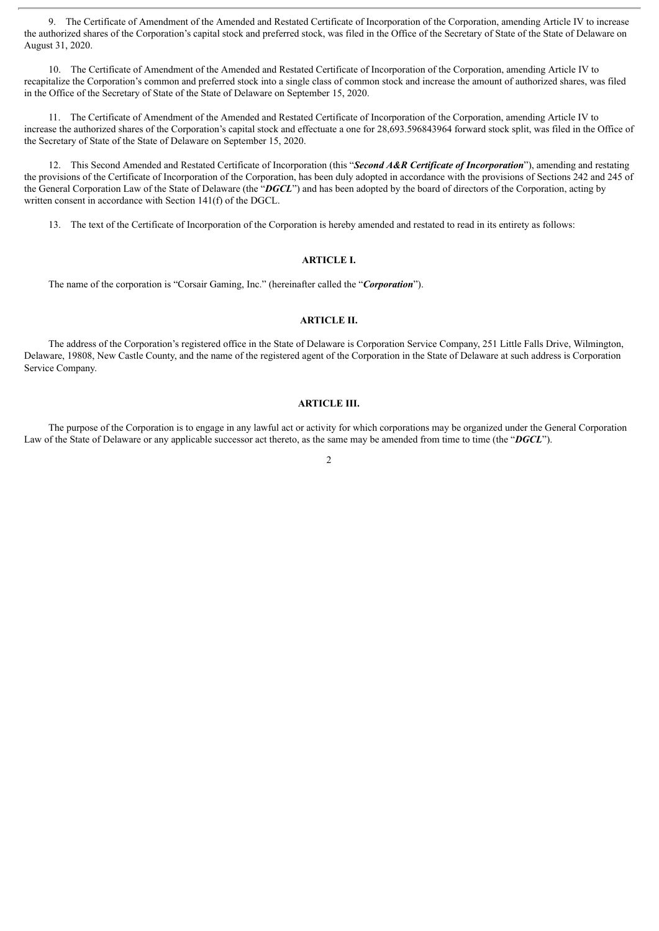9. The Certificate of Amendment of the Amended and Restated Certificate of Incorporation of the Corporation, amending Article IV to increase the authorized shares of the Corporation's capital stock and preferred stock, was filed in the Office of the Secretary of State of the State of Delaware on August 31, 2020.

10. The Certificate of Amendment of the Amended and Restated Certificate of Incorporation of the Corporation, amending Article IV to recapitalize the Corporation's common and preferred stock into a single class of common stock and increase the amount of authorized shares, was filed in the Office of the Secretary of State of the State of Delaware on September 15, 2020.

11. The Certificate of Amendment of the Amended and Restated Certificate of Incorporation of the Corporation, amending Article IV to increase the authorized shares of the Corporation's capital stock and effectuate a one for 28,693.596843964 forward stock split, was filed in the Office of the Secretary of State of the State of Delaware on September 15, 2020.

12. This Second Amended and Restated Certificate of Incorporation (this "*Second A&R Certificate of Incorporation*"), amending and restating the provisions of the Certificate of Incorporation of the Corporation, has been duly adopted in accordance with the provisions of Sections 242 and 245 of the General Corporation Law of the State of Delaware (the "*DGCL*") and has been adopted by the board of directors of the Corporation, acting by written consent in accordance with Section 141(f) of the DGCL.

13. The text of the Certificate of Incorporation of the Corporation is hereby amended and restated to read in its entirety as follows:

### **ARTICLE I.**

The name of the corporation is "Corsair Gaming, Inc." (hereinafter called the "*Corporation*").

### **ARTICLE II.**

The address of the Corporation's registered office in the State of Delaware is Corporation Service Company, 251 Little Falls Drive, Wilmington, Delaware, 19808, New Castle County, and the name of the registered agent of the Corporation in the State of Delaware at such address is Corporation Service Company.

### **ARTICLE III.**

The purpose of the Corporation is to engage in any lawful act or activity for which corporations may be organized under the General Corporation Law of the State of Delaware or any applicable successor act thereto, as the same may be amended from time to time (the "*DGCL*").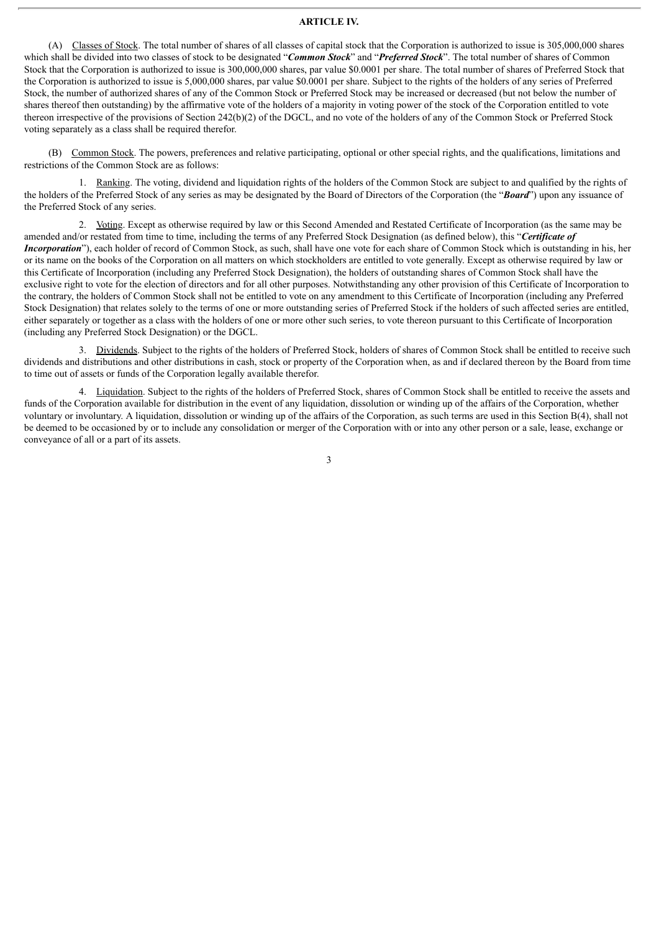### **ARTICLE IV.**

(A) Classes of Stock. The total number of shares of all classes of capital stock that the Corporation is authorized to issue is 305,000,000 shares which shall be divided into two classes of stock to be designated "*Common Stock*" and "*Preferred Stock*". The total number of shares of Common Stock that the Corporation is authorized to issue is 300,000,000 shares, par value \$0.0001 per share. The total number of shares of Preferred Stock that the Corporation is authorized to issue is 5,000,000 shares, par value \$0.0001 per share. Subject to the rights of the holders of any series of Preferred Stock, the number of authorized shares of any of the Common Stock or Preferred Stock may be increased or decreased (but not below the number of shares thereof then outstanding) by the affirmative vote of the holders of a majority in voting power of the stock of the Corporation entitled to vote thereon irrespective of the provisions of Section 242(b)(2) of the DGCL, and no vote of the holders of any of the Common Stock or Preferred Stock voting separately as a class shall be required therefor.

(B) Common Stock. The powers, preferences and relative participating, optional or other special rights, and the qualifications, limitations and restrictions of the Common Stock are as follows:

1. Ranking. The voting, dividend and liquidation rights of the holders of the Common Stock are subject to and qualified by the rights of the holders of the Preferred Stock of any series as may be designated by the Board of Directors of the Corporation (the "*Board*") upon any issuance of the Preferred Stock of any series.

2. Voting. Except as otherwise required by law or this Second Amended and Restated Certificate of Incorporation (as the same may be amended and/or restated from time to time, including the terms of any Preferred Stock Designation (as defined below), this "*Certificate of Incorporation*"), each holder of record of Common Stock, as such, shall have one vote for each share of Common Stock which is outstanding in his, her or its name on the books of the Corporation on all matters on which stockholders are entitled to vote generally. Except as otherwise required by law or this Certificate of Incorporation (including any Preferred Stock Designation), the holders of outstanding shares of Common Stock shall have the exclusive right to vote for the election of directors and for all other purposes. Notwithstanding any other provision of this Certificate of Incorporation to the contrary, the holders of Common Stock shall not be entitled to vote on any amendment to this Certificate of Incorporation (including any Preferred Stock Designation) that relates solely to the terms of one or more outstanding series of Preferred Stock if the holders of such affected series are entitled, either separately or together as a class with the holders of one or more other such series, to vote thereon pursuant to this Certificate of Incorporation (including any Preferred Stock Designation) or the DGCL.

3. Dividends. Subject to the rights of the holders of Preferred Stock, holders of shares of Common Stock shall be entitled to receive such dividends and distributions and other distributions in cash, stock or property of the Corporation when, as and if declared thereon by the Board from time to time out of assets or funds of the Corporation legally available therefor.

4. Liquidation. Subject to the rights of the holders of Preferred Stock, shares of Common Stock shall be entitled to receive the assets and funds of the Corporation available for distribution in the event of any liquidation, dissolution or winding up of the affairs of the Corporation, whether voluntary or involuntary. A liquidation, dissolution or winding up of the affairs of the Corporation, as such terms are used in this Section B(4), shall not be deemed to be occasioned by or to include any consolidation or merger of the Corporation with or into any other person or a sale, lease, exchange or conveyance of all or a part of its assets.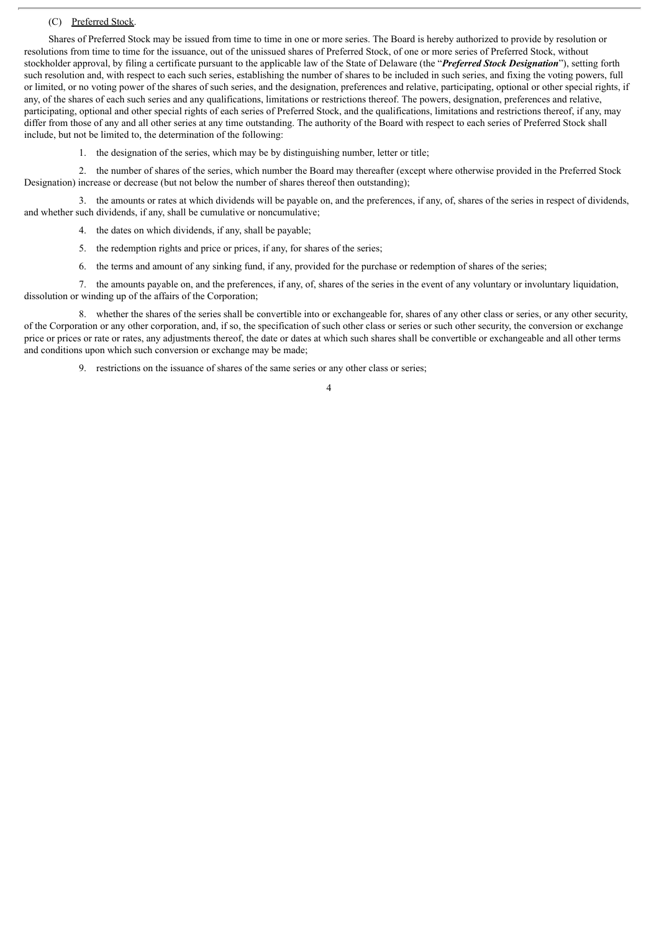### (C) Preferred Stock.

Shares of Preferred Stock may be issued from time to time in one or more series. The Board is hereby authorized to provide by resolution or resolutions from time to time for the issuance, out of the unissued shares of Preferred Stock, of one or more series of Preferred Stock, without stockholder approval, by filing a certificate pursuant to the applicable law of the State of Delaware (the "*Preferred Stock Designation*"), setting forth such resolution and, with respect to each such series, establishing the number of shares to be included in such series, and fixing the voting powers, full or limited, or no voting power of the shares of such series, and the designation, preferences and relative, participating, optional or other special rights, if any, of the shares of each such series and any qualifications, limitations or restrictions thereof. The powers, designation, preferences and relative, participating, optional and other special rights of each series of Preferred Stock, and the qualifications, limitations and restrictions thereof, if any, may differ from those of any and all other series at any time outstanding. The authority of the Board with respect to each series of Preferred Stock shall include, but not be limited to, the determination of the following:

1. the designation of the series, which may be by distinguishing number, letter or title;

2. the number of shares of the series, which number the Board may thereafter (except where otherwise provided in the Preferred Stock Designation) increase or decrease (but not below the number of shares thereof then outstanding);

3. the amounts or rates at which dividends will be payable on, and the preferences, if any, of, shares of the series in respect of dividends, and whether such dividends, if any, shall be cumulative or noncumulative;

4. the dates on which dividends, if any, shall be payable;

- 5. the redemption rights and price or prices, if any, for shares of the series;
- 6. the terms and amount of any sinking fund, if any, provided for the purchase or redemption of shares of the series;

7. the amounts payable on, and the preferences, if any, of, shares of the series in the event of any voluntary or involuntary liquidation, dissolution or winding up of the affairs of the Corporation;

8. whether the shares of the series shall be convertible into or exchangeable for, shares of any other class or series, or any other security, of the Corporation or any other corporation, and, if so, the specification of such other class or series or such other security, the conversion or exchange price or prices or rate or rates, any adjustments thereof, the date or dates at which such shares shall be convertible or exchangeable and all other terms and conditions upon which such conversion or exchange may be made;

9. restrictions on the issuance of shares of the same series or any other class or series;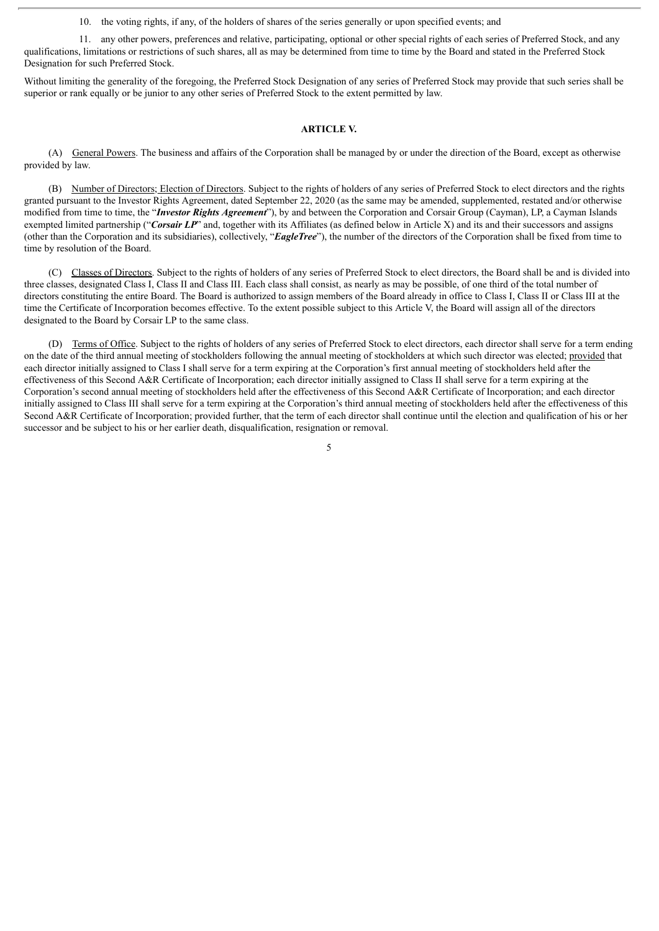10. the voting rights, if any, of the holders of shares of the series generally or upon specified events; and

11. any other powers, preferences and relative, participating, optional or other special rights of each series of Preferred Stock, and any qualifications, limitations or restrictions of such shares, all as may be determined from time to time by the Board and stated in the Preferred Stock Designation for such Preferred Stock.

Without limiting the generality of the foregoing, the Preferred Stock Designation of any series of Preferred Stock may provide that such series shall be superior or rank equally or be junior to any other series of Preferred Stock to the extent permitted by law.

### **ARTICLE V.**

(A) General Powers. The business and affairs of the Corporation shall be managed by or under the direction of the Board, except as otherwise provided by law.

(B) Number of Directors; Election of Directors. Subject to the rights of holders of any series of Preferred Stock to elect directors and the rights granted pursuant to the Investor Rights Agreement, dated September 22, 2020 (as the same may be amended, supplemented, restated and/or otherwise modified from time to time, the "*Investor Rights Agreement*"), by and between the Corporation and Corsair Group (Cayman), LP, a Cayman Islands exempted limited partnership ("*Corsair LP*" and, together with its Affiliates (as defined below in Article X) and its and their successors and assigns (other than the Corporation and its subsidiaries), collectively, "*EagleTree*"), the number of the directors of the Corporation shall be fixed from time to time by resolution of the Board.

(C) Classes of Directors. Subject to the rights of holders of any series of Preferred Stock to elect directors, the Board shall be and is divided into three classes, designated Class I, Class II and Class III. Each class shall consist, as nearly as may be possible, of one third of the total number of directors constituting the entire Board. The Board is authorized to assign members of the Board already in office to Class I, Class II or Class III at the time the Certificate of Incorporation becomes effective. To the extent possible subject to this Article V, the Board will assign all of the directors designated to the Board by Corsair LP to the same class.

(D) Terms of Office. Subject to the rights of holders of any series of Preferred Stock to elect directors, each director shall serve for a term ending on the date of the third annual meeting of stockholders following the annual meeting of stockholders at which such director was elected; provided that each director initially assigned to Class I shall serve for a term expiring at the Corporation's first annual meeting of stockholders held after the effectiveness of this Second A&R Certificate of Incorporation; each director initially assigned to Class II shall serve for a term expiring at the Corporation's second annual meeting of stockholders held after the effectiveness of this Second A&R Certificate of Incorporation; and each director initially assigned to Class III shall serve for a term expiring at the Corporation's third annual meeting of stockholders held after the effectiveness of this Second A&R Certificate of Incorporation; provided further, that the term of each director shall continue until the election and qualification of his or her successor and be subject to his or her earlier death, disqualification, resignation or removal.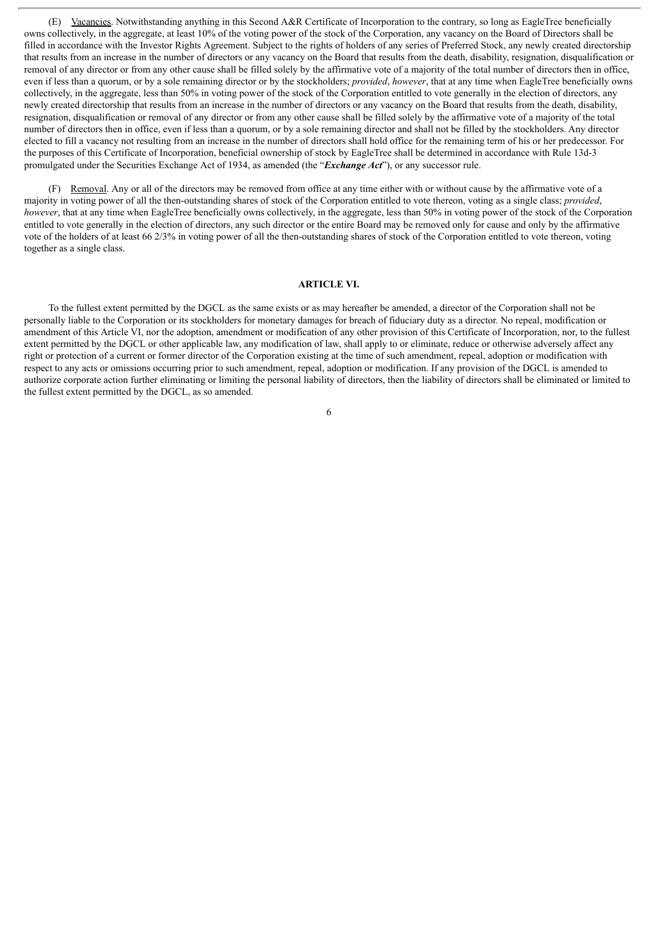(E) Vacancies. Notwithstanding anything in this Second A&R Certificate of Incorporation to the contrary, so long as EagleTree beneficially owns collectively, in the aggregate, at least 10% of the voting power of the stock of the Corporation, any vacancy on the Board of Directors shall be filled in accordance with the Investor Rights Agreement. Subject to the rights of holders of any series of Preferred Stock, any newly created directorship that results from an increase in the number of directors or any vacancy on the Board that results from the death, disability, resignation, disqualification or removal of any director or from any other cause shall be filled solely by the affirmative vote of a majority of the total number of directors then in office, even if less than a quorum, or by a sole remaining director or by the stockholders; *provided*, *however*, that at any time when EagleTree beneficially owns collectively, in the aggregate, less than 50% in voting power of the stock of the Corporation entitled to vote generally in the election of directors, any newly created directorship that results from an increase in the number of directors or any vacancy on the Board that results from the death, disability, resignation, disqualification or removal of any director or from any other cause shall be filled solely by the affirmative vote of a majority of the total number of directors then in office, even if less than a quorum, or by a sole remaining director and shall not be filled by the stockholders. Any director elected to fill a vacancy not resulting from an increase in the number of directors shall hold office for the remaining term of his or her predecessor. For the purposes of this Certificate of Incorporation, beneficial ownership of stock by EagleTree shall be determined in accordance with Rule 13d-3 promulgated under the Securities Exchange Act of 1934, as amended (the "*Exchange Act*"), or any successor rule.

(F) Removal. Any or all of the directors may be removed from office at any time either with or without cause by the affirmative vote of a majority in voting power of all the then-outstanding shares of stock of the Corporation entitled to vote thereon, voting as a single class; *provided*, *however*, that at any time when EagleTree beneficially owns collectively, in the aggregate, less than 50% in voting power of the stock of the Corporation entitled to vote generally in the election of directors, any such director or the entire Board may be removed only for cause and only by the affirmative vote of the holders of at least 66 2/3% in voting power of all the then-outstanding shares of stock of the Corporation entitled to vote thereon, voting together as a single class.

### **ARTICLE VI.**

To the fullest extent permitted by the DGCL as the same exists or as may hereafter be amended, a director of the Corporation shall not be personally liable to the Corporation or its stockholders for monetary damages for breach of fiduciary duty as a director. No repeal, modification or amendment of this Article VI, nor the adoption, amendment or modification of any other provision of this Certificate of Incorporation, nor, to the fullest extent permitted by the DGCL or other applicable law, any modification of law, shall apply to or eliminate, reduce or otherwise adversely affect any right or protection of a current or former director of the Corporation existing at the time of such amendment, repeal, adoption or modification with respect to any acts or omissions occurring prior to such amendment, repeal, adoption or modification. If any provision of the DGCL is amended to authorize corporate action further eliminating or limiting the personal liability of directors, then the liability of directors shall be eliminated or limited to the fullest extent permitted by the DGCL, as so amended.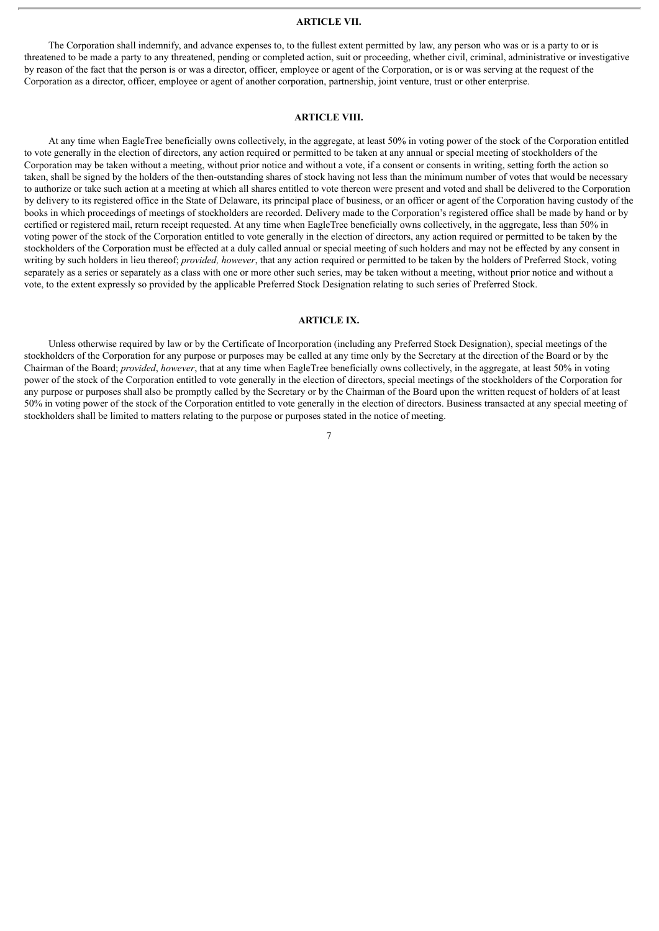### **ARTICLE VII.**

The Corporation shall indemnify, and advance expenses to, to the fullest extent permitted by law, any person who was or is a party to or is threatened to be made a party to any threatened, pending or completed action, suit or proceeding, whether civil, criminal, administrative or investigative by reason of the fact that the person is or was a director, officer, employee or agent of the Corporation, or is or was serving at the request of the Corporation as a director, officer, employee or agent of another corporation, partnership, joint venture, trust or other enterprise.

### **ARTICLE VIII.**

At any time when EagleTree beneficially owns collectively, in the aggregate, at least 50% in voting power of the stock of the Corporation entitled to vote generally in the election of directors, any action required or permitted to be taken at any annual or special meeting of stockholders of the Corporation may be taken without a meeting, without prior notice and without a vote, if a consent or consents in writing, setting forth the action so taken, shall be signed by the holders of the then-outstanding shares of stock having not less than the minimum number of votes that would be necessary to authorize or take such action at a meeting at which all shares entitled to vote thereon were present and voted and shall be delivered to the Corporation by delivery to its registered office in the State of Delaware, its principal place of business, or an officer or agent of the Corporation having custody of the books in which proceedings of meetings of stockholders are recorded. Delivery made to the Corporation's registered office shall be made by hand or by certified or registered mail, return receipt requested. At any time when EagleTree beneficially owns collectively, in the aggregate, less than 50% in voting power of the stock of the Corporation entitled to vote generally in the election of directors, any action required or permitted to be taken by the stockholders of the Corporation must be effected at a duly called annual or special meeting of such holders and may not be effected by any consent in writing by such holders in lieu thereof; *provided, however*, that any action required or permitted to be taken by the holders of Preferred Stock, voting separately as a series or separately as a class with one or more other such series, may be taken without a meeting, without prior notice and without a vote, to the extent expressly so provided by the applicable Preferred Stock Designation relating to such series of Preferred Stock.

### **ARTICLE IX.**

Unless otherwise required by law or by the Certificate of Incorporation (including any Preferred Stock Designation), special meetings of the stockholders of the Corporation for any purpose or purposes may be called at any time only by the Secretary at the direction of the Board or by the Chairman of the Board; *provided*, *however*, that at any time when EagleTree beneficially owns collectively, in the aggregate, at least 50% in voting power of the stock of the Corporation entitled to vote generally in the election of directors, special meetings of the stockholders of the Corporation for any purpose or purposes shall also be promptly called by the Secretary or by the Chairman of the Board upon the written request of holders of at least 50% in voting power of the stock of the Corporation entitled to vote generally in the election of directors. Business transacted at any special meeting of stockholders shall be limited to matters relating to the purpose or purposes stated in the notice of meeting.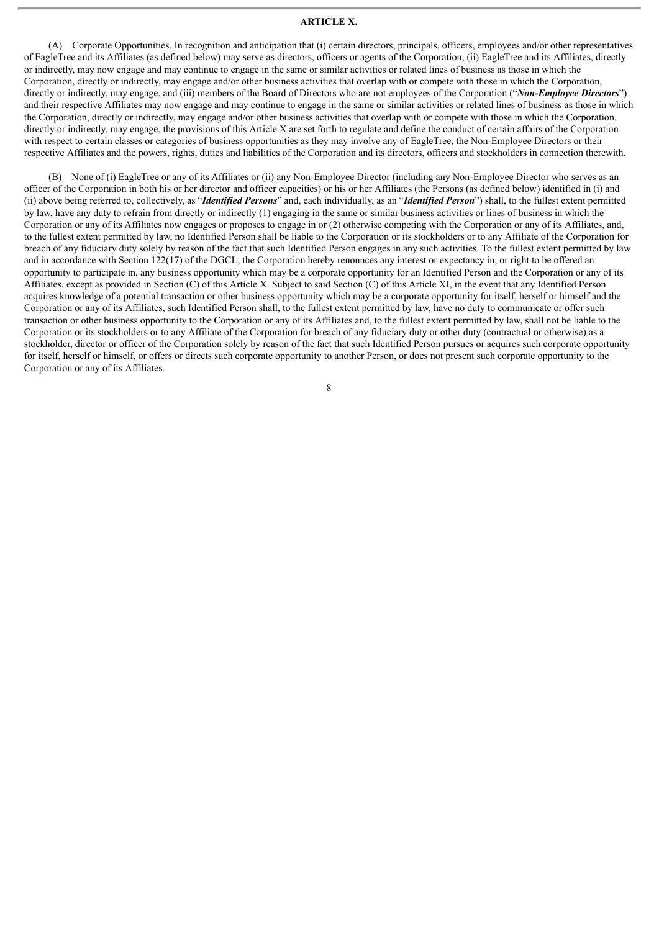### **ARTICLE X.**

(A) Corporate Opportunities. In recognition and anticipation that (i) certain directors, principals, officers, employees and/or other representatives of EagleTree and its Affiliates (as defined below) may serve as directors, officers or agents of the Corporation, (ii) EagleTree and its Affiliates, directly or indirectly, may now engage and may continue to engage in the same or similar activities or related lines of business as those in which the Corporation, directly or indirectly, may engage and/or other business activities that overlap with or compete with those in which the Corporation, directly or indirectly, may engage, and (iii) members of the Board of Directors who are not employees of the Corporation ("*Non-Employee Directors*") and their respective Affiliates may now engage and may continue to engage in the same or similar activities or related lines of business as those in which the Corporation, directly or indirectly, may engage and/or other business activities that overlap with or compete with those in which the Corporation, directly or indirectly, may engage, the provisions of this Article X are set forth to regulate and define the conduct of certain affairs of the Corporation with respect to certain classes or categories of business opportunities as they may involve any of EagleTree, the Non-Employee Directors or their respective Affiliates and the powers, rights, duties and liabilities of the Corporation and its directors, officers and stockholders in connection therewith.

(B) None of (i) EagleTree or any of its Affiliates or (ii) any Non-Employee Director (including any Non-Employee Director who serves as an officer of the Corporation in both his or her director and officer capacities) or his or her Affiliates (the Persons (as defined below) identified in (i) and (ii) above being referred to, collectively, as "*Identified Persons*" and, each individually, as an "*Identified Person*") shall, to the fullest extent permitted by law, have any duty to refrain from directly or indirectly (1) engaging in the same or similar business activities or lines of business in which the Corporation or any of its Affiliates now engages or proposes to engage in or (2) otherwise competing with the Corporation or any of its Affiliates, and, to the fullest extent permitted by law, no Identified Person shall be liable to the Corporation or its stockholders or to any Affiliate of the Corporation for breach of any fiduciary duty solely by reason of the fact that such Identified Person engages in any such activities. To the fullest extent permitted by law and in accordance with Section 122(17) of the DGCL, the Corporation hereby renounces any interest or expectancy in, or right to be offered an opportunity to participate in, any business opportunity which may be a corporate opportunity for an Identified Person and the Corporation or any of its Affiliates, except as provided in Section (C) of this Article X. Subject to said Section (C) of this Article XI, in the event that any Identified Person acquires knowledge of a potential transaction or other business opportunity which may be a corporate opportunity for itself, herself or himself and the Corporation or any of its Affiliates, such Identified Person shall, to the fullest extent permitted by law, have no duty to communicate or offer such transaction or other business opportunity to the Corporation or any of its Affiliates and, to the fullest extent permitted by law, shall not be liable to the Corporation or its stockholders or to any Affiliate of the Corporation for breach of any fiduciary duty or other duty (contractual or otherwise) as a stockholder, director or officer of the Corporation solely by reason of the fact that such Identified Person pursues or acquires such corporate opportunity for itself, herself or himself, or offers or directs such corporate opportunity to another Person, or does not present such corporate opportunity to the Corporation or any of its Affiliates.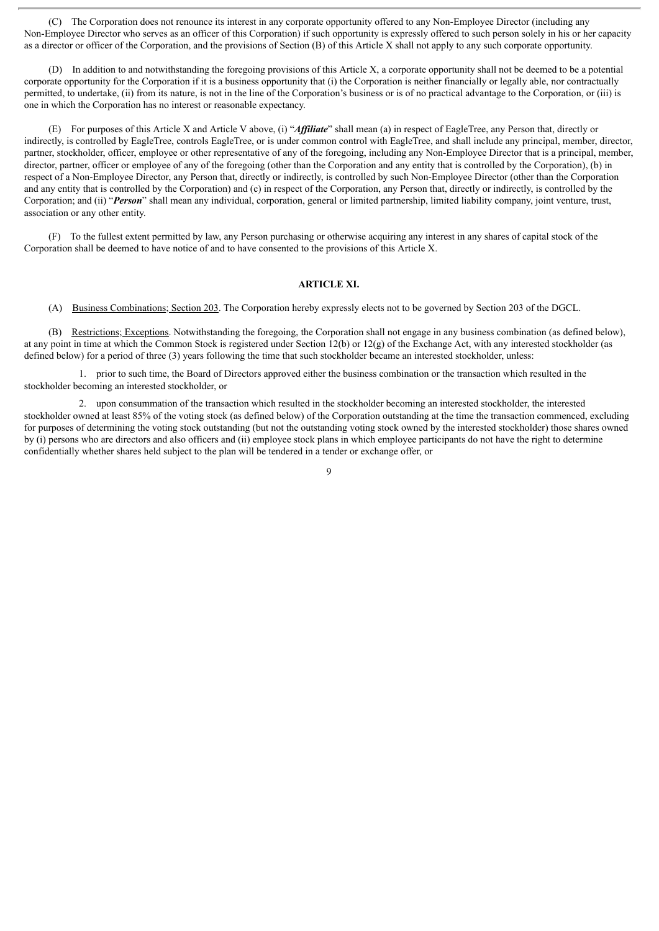(C) The Corporation does not renounce its interest in any corporate opportunity offered to any Non-Employee Director (including any Non-Employee Director who serves as an officer of this Corporation) if such opportunity is expressly offered to such person solely in his or her capacity as a director or officer of the Corporation, and the provisions of Section (B) of this Article X shall not apply to any such corporate opportunity.

(D) In addition to and notwithstanding the foregoing provisions of this Article X, a corporate opportunity shall not be deemed to be a potential corporate opportunity for the Corporation if it is a business opportunity that (i) the Corporation is neither financially or legally able, nor contractually permitted, to undertake, (ii) from its nature, is not in the line of the Corporation's business or is of no practical advantage to the Corporation, or (iii) is one in which the Corporation has no interest or reasonable expectancy.

(E) For purposes of this Article X and Article V above, (i) "*Af iliate*" shall mean (a) in respect of EagleTree, any Person that, directly or indirectly, is controlled by EagleTree, controls EagleTree, or is under common control with EagleTree, and shall include any principal, member, director, partner, stockholder, officer, employee or other representative of any of the foregoing, including any Non-Employee Director that is a principal, member, director, partner, officer or employee of any of the foregoing (other than the Corporation and any entity that is controlled by the Corporation), (b) in respect of a Non-Employee Director, any Person that, directly or indirectly, is controlled by such Non-Employee Director (other than the Corporation and any entity that is controlled by the Corporation) and (c) in respect of the Corporation, any Person that, directly or indirectly, is controlled by the Corporation; and (ii) "*Person*" shall mean any individual, corporation, general or limited partnership, limited liability company, joint venture, trust, association or any other entity.

(F) To the fullest extent permitted by law, any Person purchasing or otherwise acquiring any interest in any shares of capital stock of the Corporation shall be deemed to have notice of and to have consented to the provisions of this Article X.

### **ARTICLE XI.**

(A) Business Combinations; Section 203. The Corporation hereby expressly elects not to be governed by Section 203 of the DGCL.

(B) Restrictions; Exceptions. Notwithstanding the foregoing, the Corporation shall not engage in any business combination (as defined below), at any point in time at which the Common Stock is registered under Section 12(b) or 12(g) of the Exchange Act, with any interested stockholder (as defined below) for a period of three (3) years following the time that such stockholder became an interested stockholder, unless:

1. prior to such time, the Board of Directors approved either the business combination or the transaction which resulted in the stockholder becoming an interested stockholder, or

2. upon consummation of the transaction which resulted in the stockholder becoming an interested stockholder, the interested stockholder owned at least 85% of the voting stock (as defined below) of the Corporation outstanding at the time the transaction commenced, excluding for purposes of determining the voting stock outstanding (but not the outstanding voting stock owned by the interested stockholder) those shares owned by (i) persons who are directors and also officers and (ii) employee stock plans in which employee participants do not have the right to determine confidentially whether shares held subject to the plan will be tendered in a tender or exchange offer, or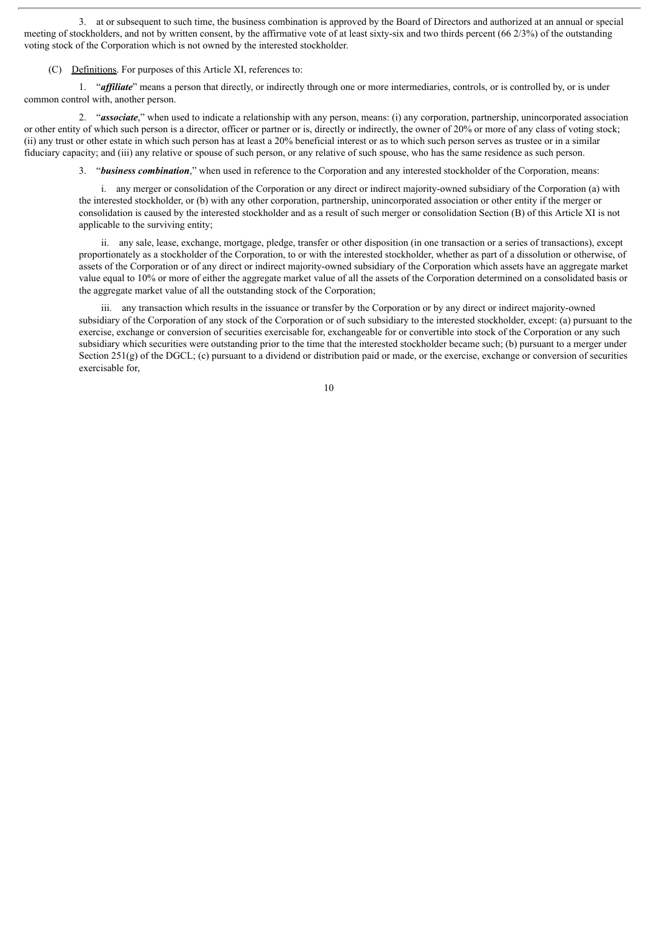3. at or subsequent to such time, the business combination is approved by the Board of Directors and authorized at an annual or special meeting of stockholders, and not by written consent, by the affirmative vote of at least sixty-six and two thirds percent (66 2/3%) of the outstanding voting stock of the Corporation which is not owned by the interested stockholder.

(C) Definitions. For purposes of this Article XI, references to:

1. "*af iliate*" means a person that directly, or indirectly through one or more intermediaries, controls, or is controlled by, or is under common control with, another person.

2. "*associate*," when used to indicate a relationship with any person, means: (i) any corporation, partnership, unincorporated association or other entity of which such person is a director, officer or partner or is, directly or indirectly, the owner of 20% or more of any class of voting stock; (ii) any trust or other estate in which such person has at least a 20% beneficial interest or as to which such person serves as trustee or in a similar fiduciary capacity; and (iii) any relative or spouse of such person, or any relative of such spouse, who has the same residence as such person.

3. "*business combination*," when used in reference to the Corporation and any interested stockholder of the Corporation, means:

i. any merger or consolidation of the Corporation or any direct or indirect majority-owned subsidiary of the Corporation (a) with the interested stockholder, or (b) with any other corporation, partnership, unincorporated association or other entity if the merger or consolidation is caused by the interested stockholder and as a result of such merger or consolidation Section (B) of this Article XI is not applicable to the surviving entity;

ii. any sale, lease, exchange, mortgage, pledge, transfer or other disposition (in one transaction or a series of transactions), except proportionately as a stockholder of the Corporation, to or with the interested stockholder, whether as part of a dissolution or otherwise, of assets of the Corporation or of any direct or indirect majority-owned subsidiary of the Corporation which assets have an aggregate market value equal to 10% or more of either the aggregate market value of all the assets of the Corporation determined on a consolidated basis or the aggregate market value of all the outstanding stock of the Corporation;

iii. any transaction which results in the issuance or transfer by the Corporation or by any direct or indirect majority-owned subsidiary of the Corporation of any stock of the Corporation or of such subsidiary to the interested stockholder, except: (a) pursuant to the exercise, exchange or conversion of securities exercisable for, exchangeable for or convertible into stock of the Corporation or any such subsidiary which securities were outstanding prior to the time that the interested stockholder became such; (b) pursuant to a merger under Section  $251(g)$  of the DGCL; (c) pursuant to a dividend or distribution paid or made, or the exercise, exchange or conversion of securities exercisable for,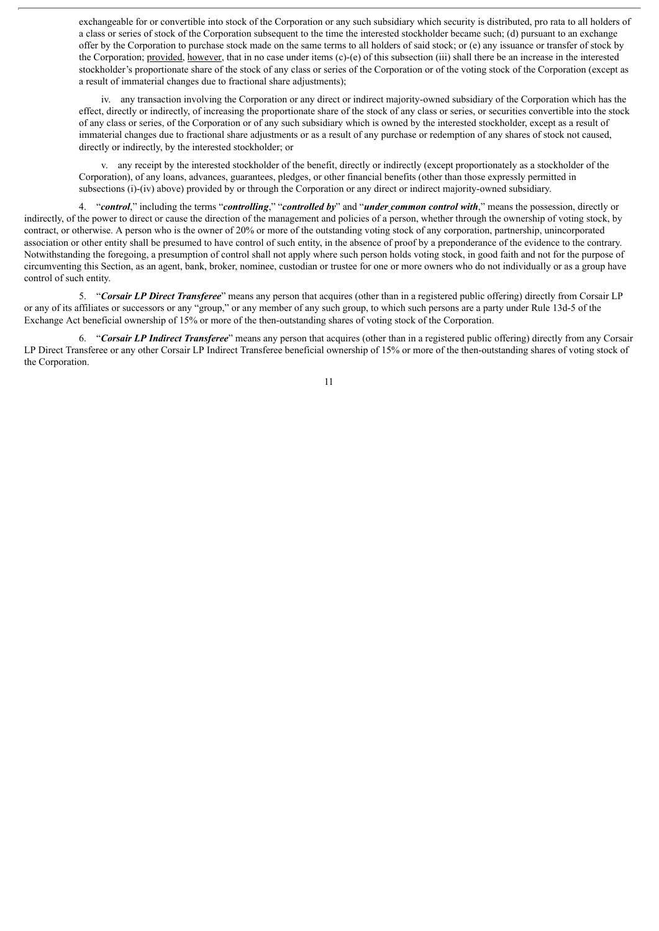exchangeable for or convertible into stock of the Corporation or any such subsidiary which security is distributed, pro rata to all holders of a class or series of stock of the Corporation subsequent to the time the interested stockholder became such; (d) pursuant to an exchange offer by the Corporation to purchase stock made on the same terms to all holders of said stock; or (e) any issuance or transfer of stock by the Corporation; provided, however, that in no case under items (c)-(e) of this subsection (iii) shall there be an increase in the interested stockholder's proportionate share of the stock of any class or series of the Corporation or of the voting stock of the Corporation (except as a result of immaterial changes due to fractional share adjustments);

iv. any transaction involving the Corporation or any direct or indirect majority-owned subsidiary of the Corporation which has the effect, directly or indirectly, of increasing the proportionate share of the stock of any class or series, or securities convertible into the stock of any class or series, of the Corporation or of any such subsidiary which is owned by the interested stockholder, except as a result of immaterial changes due to fractional share adjustments or as a result of any purchase or redemption of any shares of stock not caused, directly or indirectly, by the interested stockholder; or

v. any receipt by the interested stockholder of the benefit, directly or indirectly (except proportionately as a stockholder of the Corporation), of any loans, advances, guarantees, pledges, or other financial benefits (other than those expressly permitted in subsections (i)-(iv) above) provided by or through the Corporation or any direct or indirect majority-owned subsidiary.

4. "*control*," including the terms "*controlling*," "*controlled by*" and "*under common control with*," means the possession, directly or indirectly, of the power to direct or cause the direction of the management and policies of a person, whether through the ownership of voting stock, by contract, or otherwise. A person who is the owner of 20% or more of the outstanding voting stock of any corporation, partnership, unincorporated association or other entity shall be presumed to have control of such entity, in the absence of proof by a preponderance of the evidence to the contrary. Notwithstanding the foregoing, a presumption of control shall not apply where such person holds voting stock, in good faith and not for the purpose of circumventing this Section, as an agent, bank, broker, nominee, custodian or trustee for one or more owners who do not individually or as a group have control of such entity.

5. "*Corsair LP Direct Transferee*" means any person that acquires (other than in a registered public offering) directly from Corsair LP or any of its affiliates or successors or any "group," or any member of any such group, to which such persons are a party under Rule 13d-5 of the Exchange Act beneficial ownership of 15% or more of the then-outstanding shares of voting stock of the Corporation.

6. "*Corsair LP Indirect Transferee*" means any person that acquires (other than in a registered public offering) directly from any Corsair LP Direct Transferee or any other Corsair LP Indirect Transferee beneficial ownership of 15% or more of the then-outstanding shares of voting stock of the Corporation.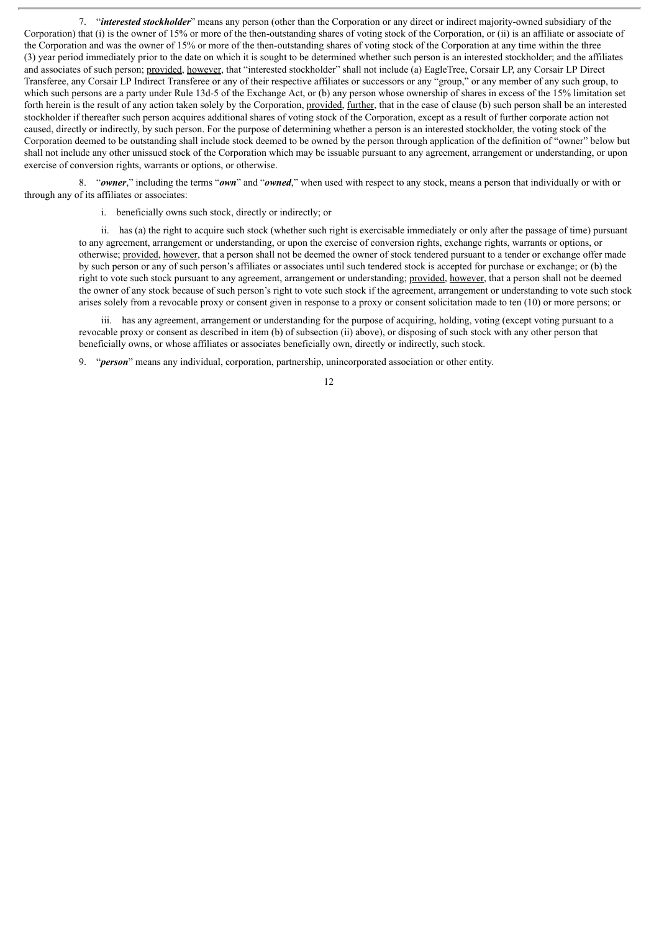7. "*interested stockholder*" means any person (other than the Corporation or any direct or indirect majority-owned subsidiary of the Corporation) that (i) is the owner of 15% or more of the then-outstanding shares of voting stock of the Corporation, or (ii) is an affiliate or associate of the Corporation and was the owner of 15% or more of the then-outstanding shares of voting stock of the Corporation at any time within the three (3) year period immediately prior to the date on which it is sought to be determined whether such person is an interested stockholder; and the affiliates and associates of such person; provided, however, that "interested stockholder" shall not include (a) EagleTree, Corsair LP, any Corsair LP Direct Transferee, any Corsair LP Indirect Transferee or any of their respective affiliates or successors or any "group," or any member of any such group, to which such persons are a party under Rule 13d-5 of the Exchange Act, or (b) any person whose ownership of shares in excess of the 15% limitation set forth herein is the result of any action taken solely by the Corporation, provided, further, that in the case of clause (b) such person shall be an interested stockholder if thereafter such person acquires additional shares of voting stock of the Corporation, except as a result of further corporate action not caused, directly or indirectly, by such person. For the purpose of determining whether a person is an interested stockholder, the voting stock of the Corporation deemed to be outstanding shall include stock deemed to be owned by the person through application of the definition of "owner" below but shall not include any other unissued stock of the Corporation which may be issuable pursuant to any agreement, arrangement or understanding, or upon exercise of conversion rights, warrants or options, or otherwise.

8. "*owner*," including the terms "*own*" and "*owned*," when used with respect to any stock, means a person that individually or with or through any of its affiliates or associates:

i. beneficially owns such stock, directly or indirectly; or

ii. has (a) the right to acquire such stock (whether such right is exercisable immediately or only after the passage of time) pursuant to any agreement, arrangement or understanding, or upon the exercise of conversion rights, exchange rights, warrants or options, or otherwise; provided, however, that a person shall not be deemed the owner of stock tendered pursuant to a tender or exchange offer made by such person or any of such person's affiliates or associates until such tendered stock is accepted for purchase or exchange; or (b) the right to vote such stock pursuant to any agreement, arrangement or understanding; provided, however, that a person shall not be deemed the owner of any stock because of such person's right to vote such stock if the agreement, arrangement or understanding to vote such stock arises solely from a revocable proxy or consent given in response to a proxy or consent solicitation made to ten (10) or more persons; or

iii. has any agreement, arrangement or understanding for the purpose of acquiring, holding, voting (except voting pursuant to a revocable proxy or consent as described in item (b) of subsection (ii) above), or disposing of such stock with any other person that beneficially owns, or whose affiliates or associates beneficially own, directly or indirectly, such stock.

9. "*person*" means any individual, corporation, partnership, unincorporated association or other entity.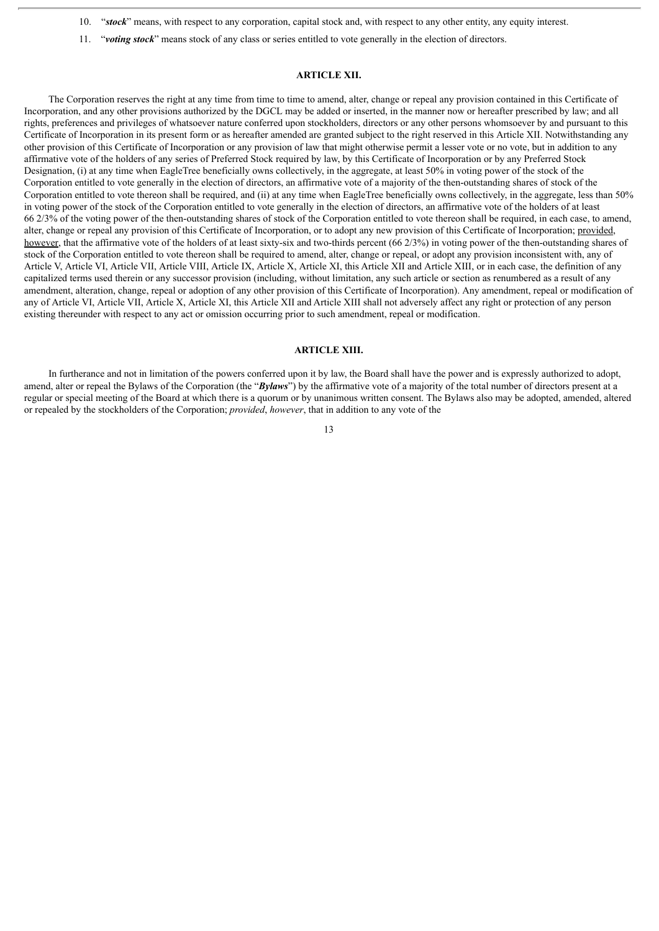- 10. "*stock*" means, with respect to any corporation, capital stock and, with respect to any other entity, any equity interest.
- 11. "*voting stock*" means stock of any class or series entitled to vote generally in the election of directors.

#### **ARTICLE XII.**

The Corporation reserves the right at any time from time to time to amend, alter, change or repeal any provision contained in this Certificate of Incorporation, and any other provisions authorized by the DGCL may be added or inserted, in the manner now or hereafter prescribed by law; and all rights, preferences and privileges of whatsoever nature conferred upon stockholders, directors or any other persons whomsoever by and pursuant to this Certificate of Incorporation in its present form or as hereafter amended are granted subject to the right reserved in this Article XII. Notwithstanding any other provision of this Certificate of Incorporation or any provision of law that might otherwise permit a lesser vote or no vote, but in addition to any affirmative vote of the holders of any series of Preferred Stock required by law, by this Certificate of Incorporation or by any Preferred Stock Designation, (i) at any time when EagleTree beneficially owns collectively, in the aggregate, at least 50% in voting power of the stock of the Corporation entitled to vote generally in the election of directors, an affirmative vote of a majority of the then-outstanding shares of stock of the Corporation entitled to vote thereon shall be required, and (ii) at any time when EagleTree beneficially owns collectively, in the aggregate, less than 50% in voting power of the stock of the Corporation entitled to vote generally in the election of directors, an affirmative vote of the holders of at least 66 2/3% of the voting power of the then-outstanding shares of stock of the Corporation entitled to vote thereon shall be required, in each case, to amend, alter, change or repeal any provision of this Certificate of Incorporation, or to adopt any new provision of this Certificate of Incorporation; provided, however, that the affirmative vote of the holders of at least sixty-six and two-thirds percent (66 2/3%) in voting power of the then-outstanding shares of stock of the Corporation entitled to vote thereon shall be required to amend, alter, change or repeal, or adopt any provision inconsistent with, any of Article V, Article VI, Article VII, Article VIII, Article IX, Article X, Article XI, this Article XII and Article XIII, or in each case, the definition of any capitalized terms used therein or any successor provision (including, without limitation, any such article or section as renumbered as a result of any amendment, alteration, change, repeal or adoption of any other provision of this Certificate of Incorporation). Any amendment, repeal or modification of any of Article VI, Article VII, Article X, Article XI, this Article XII and Article XIII shall not adversely affect any right or protection of any person existing thereunder with respect to any act or omission occurring prior to such amendment, repeal or modification.

#### **ARTICLE XIII.**

In furtherance and not in limitation of the powers conferred upon it by law, the Board shall have the power and is expressly authorized to adopt, amend, alter or repeal the Bylaws of the Corporation (the "*Bylaws*") by the affirmative vote of a majority of the total number of directors present at a regular or special meeting of the Board at which there is a quorum or by unanimous written consent. The Bylaws also may be adopted, amended, altered or repealed by the stockholders of the Corporation; *provided*, *however*, that in addition to any vote of the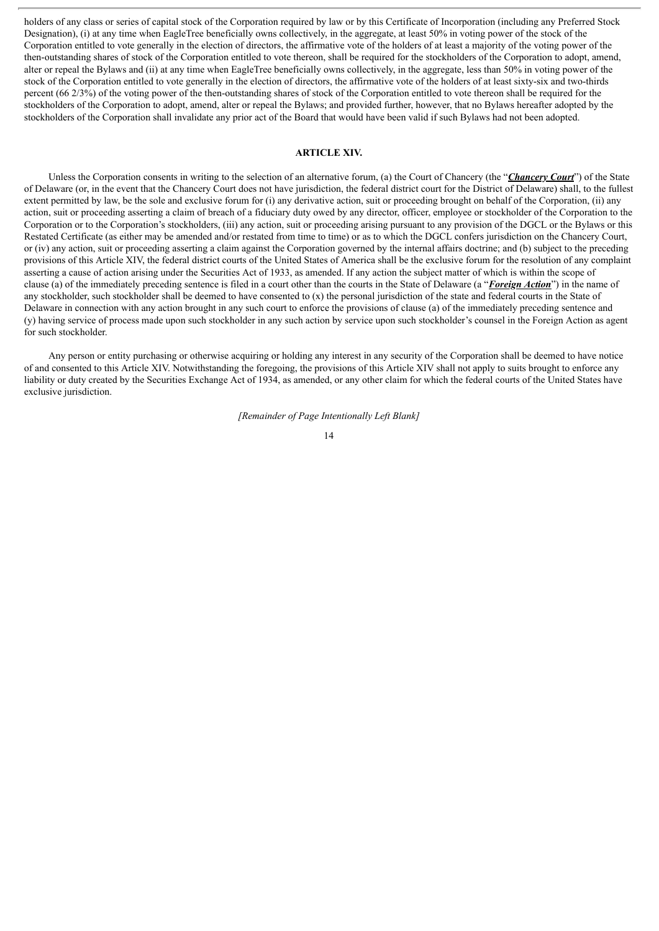holders of any class or series of capital stock of the Corporation required by law or by this Certificate of Incorporation (including any Preferred Stock Designation), (i) at any time when EagleTree beneficially owns collectively, in the aggregate, at least 50% in voting power of the stock of the Corporation entitled to vote generally in the election of directors, the affirmative vote of the holders of at least a majority of the voting power of the then-outstanding shares of stock of the Corporation entitled to vote thereon, shall be required for the stockholders of the Corporation to adopt, amend, alter or repeal the Bylaws and (ii) at any time when EagleTree beneficially owns collectively, in the aggregate, less than 50% in voting power of the stock of the Corporation entitled to vote generally in the election of directors, the affirmative vote of the holders of at least sixty-six and two-thirds percent (66 2/3%) of the voting power of the then-outstanding shares of stock of the Corporation entitled to vote thereon shall be required for the stockholders of the Corporation to adopt, amend, alter or repeal the Bylaws; and provided further, however, that no Bylaws hereafter adopted by the stockholders of the Corporation shall invalidate any prior act of the Board that would have been valid if such Bylaws had not been adopted.

### **ARTICLE XIV.**

Unless the Corporation consents in writing to the selection of an alternative forum, (a) the Court of Chancery (the "*Chancery Court*") of the State of Delaware (or, in the event that the Chancery Court does not have jurisdiction, the federal district court for the District of Delaware) shall, to the fullest extent permitted by law, be the sole and exclusive forum for (i) any derivative action, suit or proceeding brought on behalf of the Corporation, (ii) any action, suit or proceeding asserting a claim of breach of a fiduciary duty owed by any director, officer, employee or stockholder of the Corporation to the Corporation or to the Corporation's stockholders, (iii) any action, suit or proceeding arising pursuant to any provision of the DGCL or the Bylaws or this Restated Certificate (as either may be amended and/or restated from time to time) or as to which the DGCL confers jurisdiction on the Chancery Court, or (iv) any action, suit or proceeding asserting a claim against the Corporation governed by the internal affairs doctrine; and (b) subject to the preceding provisions of this Article XIV, the federal district courts of the United States of America shall be the exclusive forum for the resolution of any complaint asserting a cause of action arising under the Securities Act of 1933, as amended. If any action the subject matter of which is within the scope of clause (a) of the immediately preceding sentence is filed in a court other than the courts in the State of Delaware (a "*Foreign Action*") in the name of any stockholder, such stockholder shall be deemed to have consented to (x) the personal jurisdiction of the state and federal courts in the State of Delaware in connection with any action brought in any such court to enforce the provisions of clause (a) of the immediately preceding sentence and (y) having service of process made upon such stockholder in any such action by service upon such stockholder's counsel in the Foreign Action as agent for such stockholder.

Any person or entity purchasing or otherwise acquiring or holding any interest in any security of the Corporation shall be deemed to have notice of and consented to this Article XIV. Notwithstanding the foregoing, the provisions of this Article XIV shall not apply to suits brought to enforce any liability or duty created by the Securities Exchange Act of 1934, as amended, or any other claim for which the federal courts of the United States have exclusive jurisdiction.

*[Remainder of Page Intentionally Left Blank]*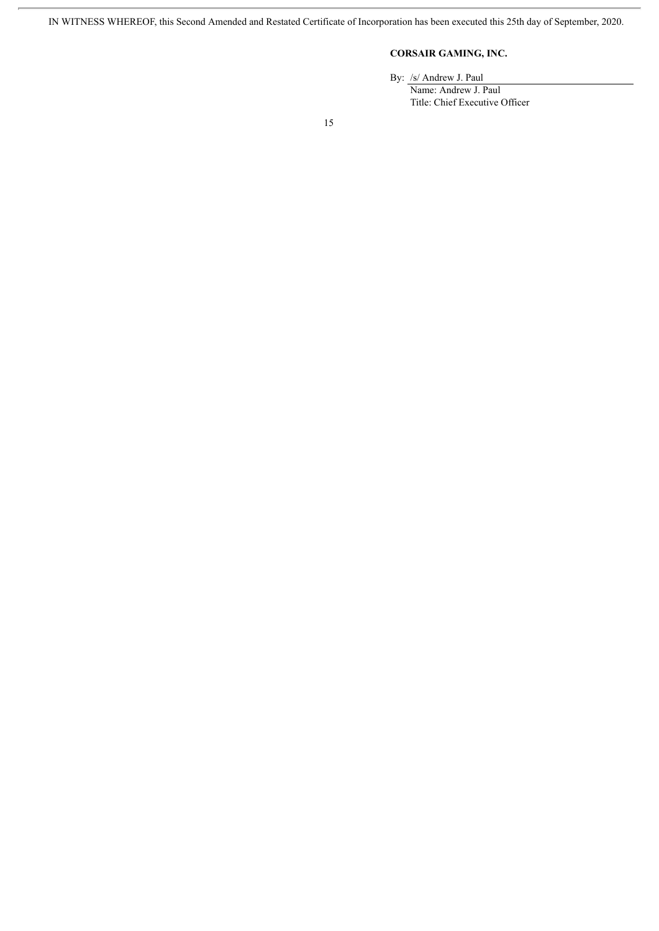IN WITNESS WHEREOF, this Second Amended and Restated Certificate of Incorporation has been executed this 25th day of September, 2020.

### **CORSAIR GAMING, INC.**

### By: /s/ Andrew J. Paul

Name: Andrew J. Paul Title: Chief Executive Officer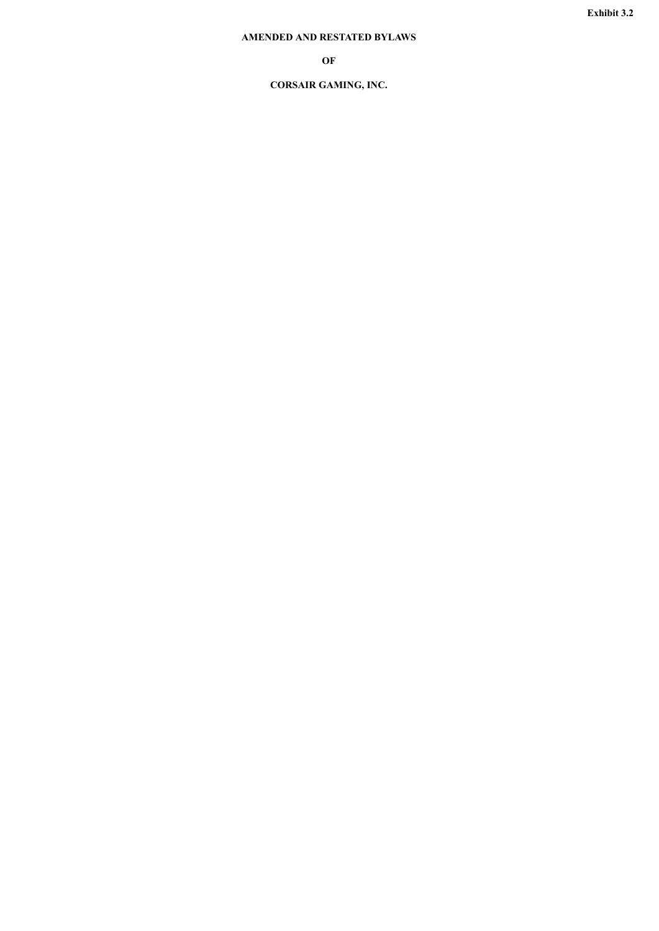### <span id="page-19-0"></span>**AMENDED AND RESTATED BYLAWS**

**OF**

### **CORSAIR GAMING, INC.**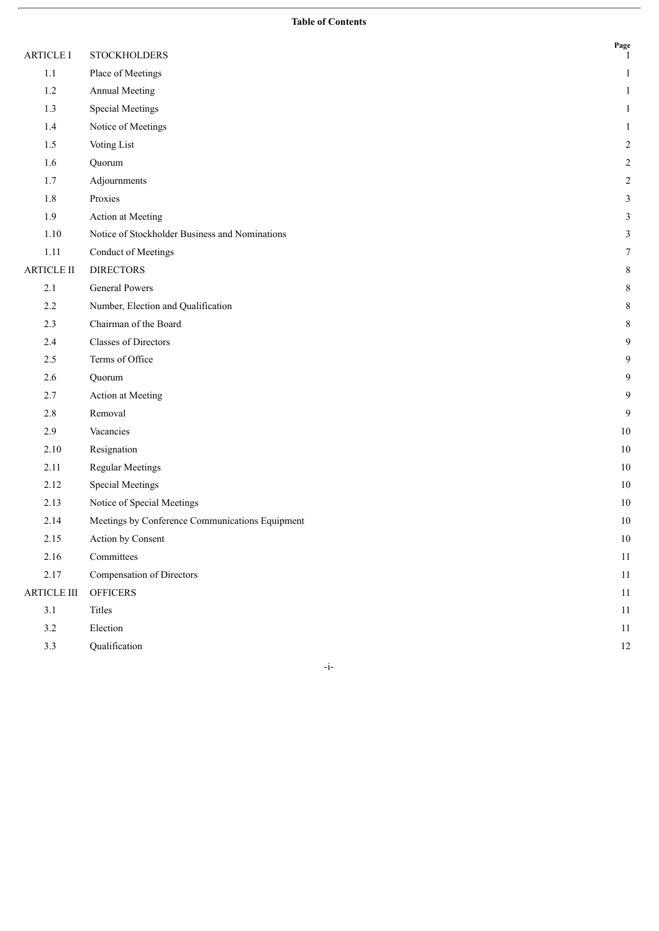|                    |                                                 | Page             |
|--------------------|-------------------------------------------------|------------------|
| <b>ARTICLE I</b>   | <b>STOCKHOLDERS</b>                             | 1                |
| 1.1                | Place of Meetings                               | 1                |
| 1.2                | Annual Meeting                                  | $\mathbf{1}$     |
| 1.3                | <b>Special Meetings</b>                         | 1                |
| 1.4                | Notice of Meetings                              | $\mathbf{1}$     |
| 1.5                | Voting List                                     | $\overline{c}$   |
| 1.6                | Quorum                                          | $\sqrt{2}$       |
| 1.7                | Adjournments                                    | $\sqrt{2}$       |
| 1.8                | Proxies                                         | 3                |
| 1.9                | Action at Meeting                               | $\mathfrak{Z}$   |
| 1.10               | Notice of Stockholder Business and Nominations  | $\mathfrak{Z}$   |
| 1.11               | Conduct of Meetings                             | $\boldsymbol{7}$ |
| <b>ARTICLE II</b>  | <b>DIRECTORS</b>                                | $\,8\,$          |
| 2.1                | <b>General Powers</b>                           | $\,8\,$          |
| 2.2                | Number, Election and Qualification              | $\,8\,$          |
| 2.3                | Chairman of the Board                           | $\,$ 8 $\,$      |
| 2.4                | Classes of Directors                            | 9                |
| 2.5                | Terms of Office                                 | $\boldsymbol{9}$ |
| 2.6                | Quorum                                          | 9                |
| 2.7                | Action at Meeting                               | 9                |
| 2.8                | Removal                                         | 9                |
| 2.9                | Vacancies                                       | $10\,$           |
| 2.10               | Resignation                                     | $10\,$           |
| 2.11               | <b>Regular Meetings</b>                         | $10\,$           |
| 2.12               | <b>Special Meetings</b>                         | $10\,$           |
| 2.13               | Notice of Special Meetings                      | $10\,$           |
| 2.14               | Meetings by Conference Communications Equipment | $10\,$           |
| 2.15               | Action by Consent                               | $10\,$           |
| 2.16               | Committees                                      | 11               |
| 2.17               | Compensation of Directors                       | $11\,$           |
| <b>ARTICLE III</b> | <b>OFFICERS</b>                                 | $11\,$           |
| 3.1                | Titles                                          | $11\,$           |
| $3.2\,$            | Election                                        | 11               |
| $3.3\,$            | Qualification                                   | $12\,$           |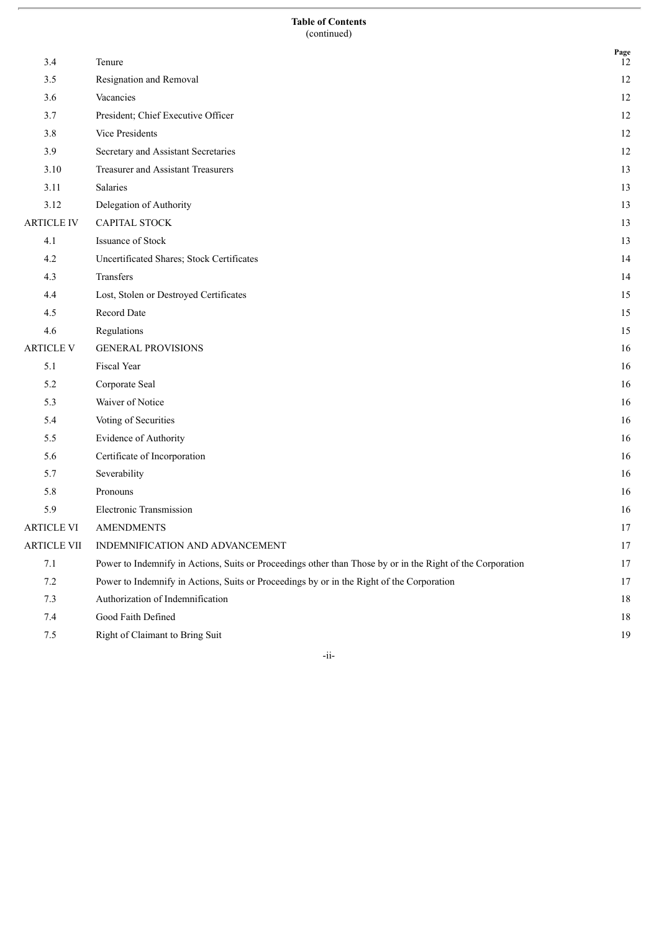### **Table of Contents** (continued)

| 3.4                | Tenure                                                                                                     | Page<br>$\overline{12}$ |
|--------------------|------------------------------------------------------------------------------------------------------------|-------------------------|
| 3.5                | Resignation and Removal                                                                                    | 12                      |
| 3.6                | Vacancies                                                                                                  | 12                      |
| 3.7                | President; Chief Executive Officer                                                                         | 12                      |
| 3.8                | Vice Presidents                                                                                            | 12                      |
| 3.9                | Secretary and Assistant Secretaries                                                                        | 12                      |
| 3.10               | Treasurer and Assistant Treasurers                                                                         | 13                      |
| 3.11               | Salaries                                                                                                   | 13                      |
| 3.12               | Delegation of Authority                                                                                    | 13                      |
| <b>ARTICLE IV</b>  | CAPITAL STOCK                                                                                              | 13                      |
| 4.1                | Issuance of Stock                                                                                          | 13                      |
| 4.2                | Uncertificated Shares; Stock Certificates                                                                  | 14                      |
| 4.3                | Transfers                                                                                                  | 14                      |
| 4.4                | Lost, Stolen or Destroyed Certificates                                                                     | 15                      |
| 4.5                | Record Date                                                                                                | 15                      |
| 4.6                | Regulations                                                                                                | 15                      |
| ARTICLE V          | <b>GENERAL PROVISIONS</b>                                                                                  | 16                      |
| 5.1                | Fiscal Year                                                                                                | 16                      |
| 5.2                | Corporate Seal                                                                                             | 16                      |
| 5.3                | Waiver of Notice                                                                                           | 16                      |
| 5.4                | Voting of Securities                                                                                       | 16                      |
| 5.5                | Evidence of Authority                                                                                      | 16                      |
| 5.6                | Certificate of Incorporation                                                                               | 16                      |
| 5.7                | Severability                                                                                               | 16                      |
| 5.8                | Pronouns                                                                                                   | 16                      |
| 5.9                | Electronic Transmission                                                                                    | 16                      |
| ARTICLE VI         | <b>AMENDMENTS</b>                                                                                          | 17                      |
| <b>ARTICLE VII</b> | INDEMNIFICATION AND ADVANCEMENT                                                                            | 17                      |
| 7.1                | Power to Indemnify in Actions, Suits or Proceedings other than Those by or in the Right of the Corporation | 17                      |
| 7.2                | Power to Indemnify in Actions, Suits or Proceedings by or in the Right of the Corporation                  | 17                      |
| 7.3                | Authorization of Indemnification                                                                           | 18                      |
| 7.4                | Good Faith Defined                                                                                         | 18                      |
| 7.5                | Right of Claimant to Bring Suit                                                                            | 19                      |

### -ii-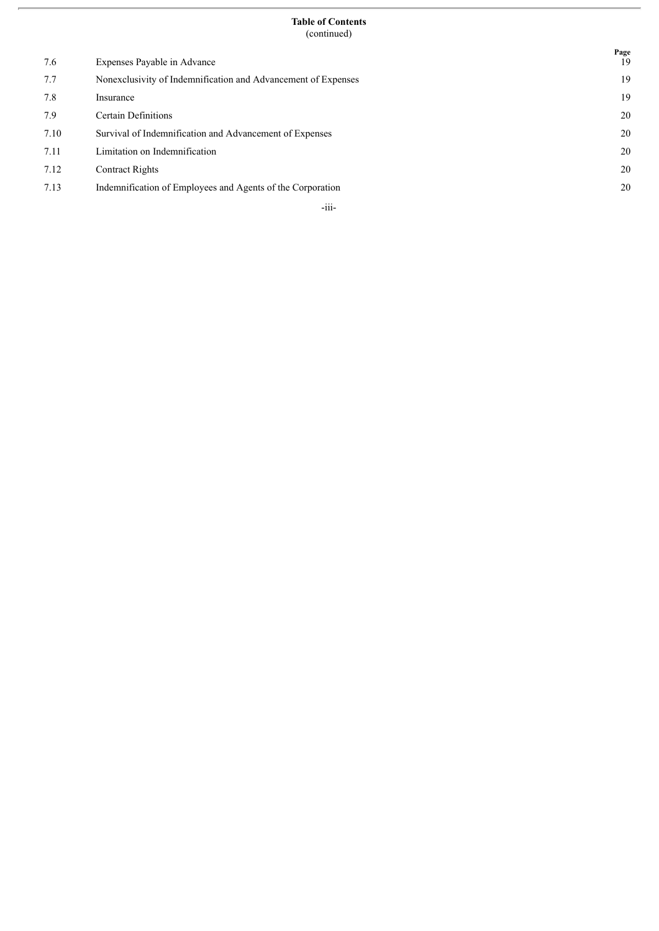### **Table of Contents** (continued)

| 7.6  | Expenses Payable in Advance                                   | Page<br>19 |
|------|---------------------------------------------------------------|------------|
| 7.7  | Nonexclusivity of Indemnification and Advancement of Expenses | 19         |
| 7.8  | Insurance                                                     | 19         |
| 7.9  | Certain Definitions                                           | 20         |
| 7.10 | Survival of Indemnification and Advancement of Expenses       | 20         |
| 7.11 | Limitation on Indemnification                                 | 20         |
| 7.12 | <b>Contract Rights</b>                                        | 20         |
| 7.13 | Indemnification of Employees and Agents of the Corporation    | 20         |
|      | $\cdots$<br>$-111-$                                           |            |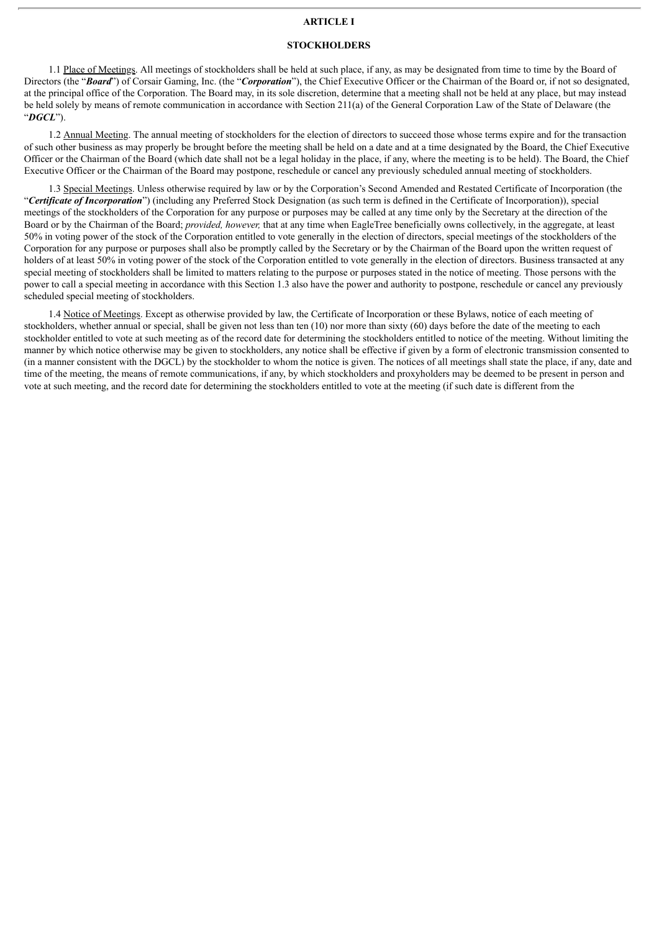### **ARTICLE I**

### **STOCKHOLDERS**

1.1 Place of Meetings. All meetings of stockholders shall be held at such place, if any, as may be designated from time to time by the Board of Directors (the "**Board**") of Corsair Gaming, Inc. (the "**Corporation**"), the Chief Executive Officer or the Chairman of the Board or, if not so designated, at the principal office of the Corporation. The Board may, in its sole discretion, determine that a meeting shall not be held at any place, but may instead be held solely by means of remote communication in accordance with Section 211(a) of the General Corporation Law of the State of Delaware (the "*DGCL*").

1.2 Annual Meeting. The annual meeting of stockholders for the election of directors to succeed those whose terms expire and for the transaction of such other business as may properly be brought before the meeting shall be held on a date and at a time designated by the Board, the Chief Executive Officer or the Chairman of the Board (which date shall not be a legal holiday in the place, if any, where the meeting is to be held). The Board, the Chief Executive Officer or the Chairman of the Board may postpone, reschedule or cancel any previously scheduled annual meeting of stockholders.

1.3 Special Meetings. Unless otherwise required by law or by the Corporation's Second Amended and Restated Certificate of Incorporation (the "*Certificate of Incorporation*") (including any Preferred Stock Designation (as such term is defined in the Certificate of Incorporation)), special meetings of the stockholders of the Corporation for any purpose or purposes may be called at any time only by the Secretary at the direction of the Board or by the Chairman of the Board; *provided, however,* that at any time when EagleTree beneficially owns collectively, in the aggregate, at least 50% in voting power of the stock of the Corporation entitled to vote generally in the election of directors, special meetings of the stockholders of the Corporation for any purpose or purposes shall also be promptly called by the Secretary or by the Chairman of the Board upon the written request of holders of at least 50% in voting power of the stock of the Corporation entitled to vote generally in the election of directors. Business transacted at any special meeting of stockholders shall be limited to matters relating to the purpose or purposes stated in the notice of meeting. Those persons with the power to call a special meeting in accordance with this Section 1.3 also have the power and authority to postpone, reschedule or cancel any previously scheduled special meeting of stockholders.

1.4 Notice of Meetings. Except as otherwise provided by law, the Certificate of Incorporation or these Bylaws, notice of each meeting of stockholders, whether annual or special, shall be given not less than ten (10) nor more than sixty (60) days before the date of the meeting to each stockholder entitled to vote at such meeting as of the record date for determining the stockholders entitled to notice of the meeting. Without limiting the manner by which notice otherwise may be given to stockholders, any notice shall be effective if given by a form of electronic transmission consented to (in a manner consistent with the DGCL) by the stockholder to whom the notice is given. The notices of all meetings shall state the place, if any, date and time of the meeting, the means of remote communications, if any, by which stockholders and proxyholders may be deemed to be present in person and vote at such meeting, and the record date for determining the stockholders entitled to vote at the meeting (if such date is different from the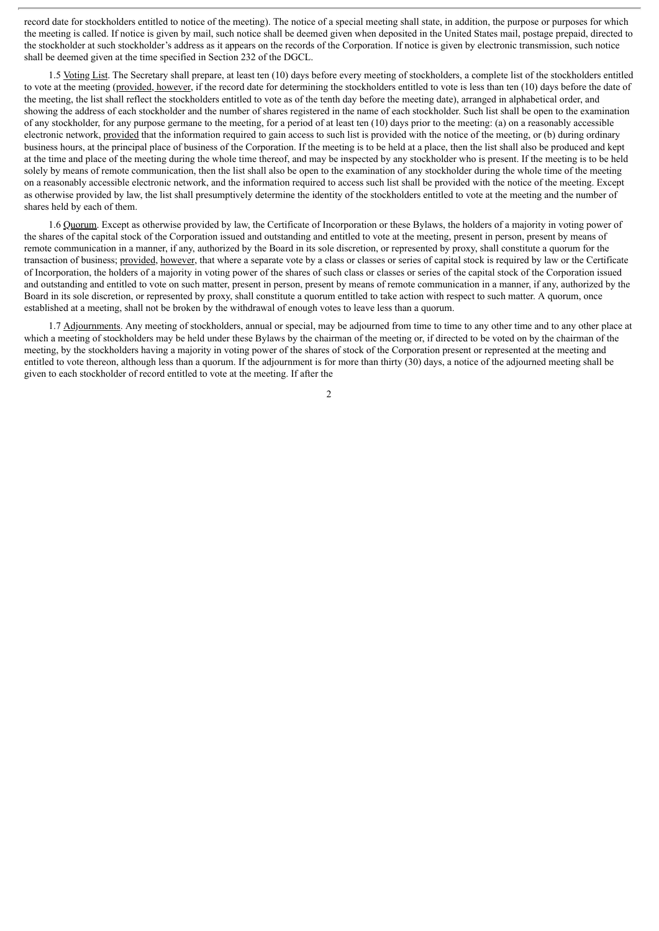record date for stockholders entitled to notice of the meeting). The notice of a special meeting shall state, in addition, the purpose or purposes for which the meeting is called. If notice is given by mail, such notice shall be deemed given when deposited in the United States mail, postage prepaid, directed to the stockholder at such stockholder's address as it appears on the records of the Corporation. If notice is given by electronic transmission, such notice shall be deemed given at the time specified in Section 232 of the DGCL.

1.5 Voting List. The Secretary shall prepare, at least ten (10) days before every meeting of stockholders, a complete list of the stockholders entitled to vote at the meeting (provided, however, if the record date for determining the stockholders entitled to vote is less than ten (10) days before the date of the meeting, the list shall reflect the stockholders entitled to vote as of the tenth day before the meeting date), arranged in alphabetical order, and showing the address of each stockholder and the number of shares registered in the name of each stockholder. Such list shall be open to the examination of any stockholder, for any purpose germane to the meeting, for a period of at least ten (10) days prior to the meeting: (a) on a reasonably accessible electronic network, provided that the information required to gain access to such list is provided with the notice of the meeting, or (b) during ordinary business hours, at the principal place of business of the Corporation. If the meeting is to be held at a place, then the list shall also be produced and kept at the time and place of the meeting during the whole time thereof, and may be inspected by any stockholder who is present. If the meeting is to be held solely by means of remote communication, then the list shall also be open to the examination of any stockholder during the whole time of the meeting on a reasonably accessible electronic network, and the information required to access such list shall be provided with the notice of the meeting. Except as otherwise provided by law, the list shall presumptively determine the identity of the stockholders entitled to vote at the meeting and the number of shares held by each of them.

1.6 Quorum. Except as otherwise provided by law, the Certificate of Incorporation or these Bylaws, the holders of a majority in voting power of the shares of the capital stock of the Corporation issued and outstanding and entitled to vote at the meeting, present in person, present by means of remote communication in a manner, if any, authorized by the Board in its sole discretion, or represented by proxy, shall constitute a quorum for the transaction of business; provided, however, that where a separate vote by a class or classes or series of capital stock is required by law or the Certificate of Incorporation, the holders of a majority in voting power of the shares of such class or classes or series of the capital stock of the Corporation issued and outstanding and entitled to vote on such matter, present in person, present by means of remote communication in a manner, if any, authorized by the Board in its sole discretion, or represented by proxy, shall constitute a quorum entitled to take action with respect to such matter. A quorum, once established at a meeting, shall not be broken by the withdrawal of enough votes to leave less than a quorum.

1.7 Adjournments. Any meeting of stockholders, annual or special, may be adjourned from time to time to any other time and to any other place at which a meeting of stockholders may be held under these Bylaws by the chairman of the meeting or, if directed to be voted on by the chairman of the meeting, by the stockholders having a majority in voting power of the shares of stock of the Corporation present or represented at the meeting and entitled to vote thereon, although less than a quorum. If the adjournment is for more than thirty (30) days, a notice of the adjourned meeting shall be given to each stockholder of record entitled to vote at the meeting. If after the

 $\overline{2}$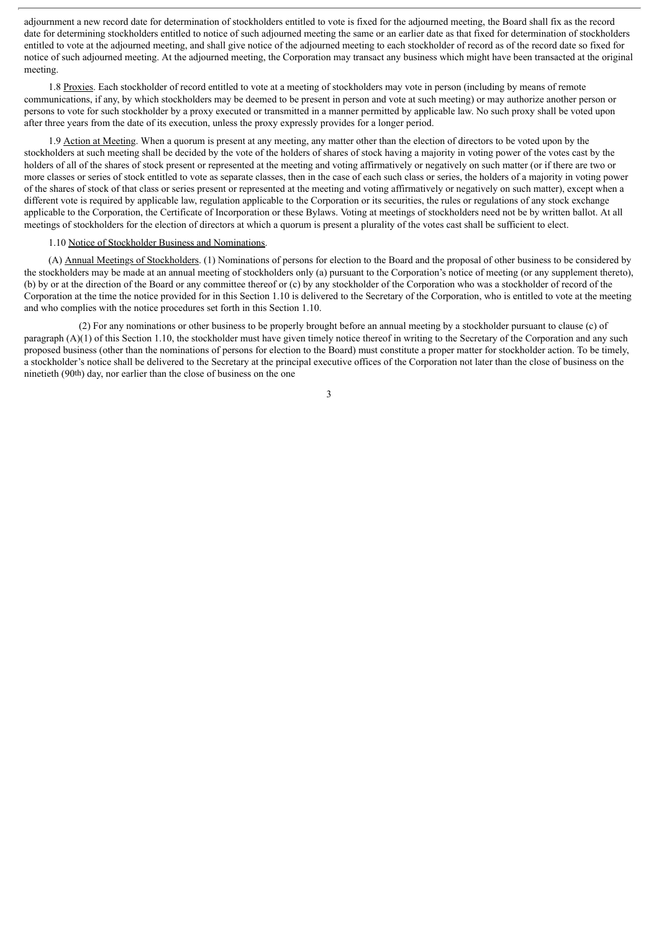adjournment a new record date for determination of stockholders entitled to vote is fixed for the adjourned meeting, the Board shall fix as the record date for determining stockholders entitled to notice of such adjourned meeting the same or an earlier date as that fixed for determination of stockholders entitled to vote at the adjourned meeting, and shall give notice of the adjourned meeting to each stockholder of record as of the record date so fixed for notice of such adjourned meeting. At the adjourned meeting, the Corporation may transact any business which might have been transacted at the original meeting.

1.8 Proxies. Each stockholder of record entitled to vote at a meeting of stockholders may vote in person (including by means of remote communications, if any, by which stockholders may be deemed to be present in person and vote at such meeting) or may authorize another person or persons to vote for such stockholder by a proxy executed or transmitted in a manner permitted by applicable law. No such proxy shall be voted upon after three years from the date of its execution, unless the proxy expressly provides for a longer period.

1.9 Action at Meeting. When a quorum is present at any meeting, any matter other than the election of directors to be voted upon by the stockholders at such meeting shall be decided by the vote of the holders of shares of stock having a majority in voting power of the votes cast by the holders of all of the shares of stock present or represented at the meeting and voting affirmatively or negatively on such matter (or if there are two or more classes or series of stock entitled to vote as separate classes, then in the case of each such class or series, the holders of a majority in voting power of the shares of stock of that class or series present or represented at the meeting and voting affirmatively or negatively on such matter), except when a different vote is required by applicable law, regulation applicable to the Corporation or its securities, the rules or regulations of any stock exchange applicable to the Corporation, the Certificate of Incorporation or these Bylaws. Voting at meetings of stockholders need not be by written ballot. At all meetings of stockholders for the election of directors at which a quorum is present a plurality of the votes cast shall be sufficient to elect.

#### 1.10 Notice of Stockholder Business and Nominations.

(A) Annual Meetings of Stockholders. (1) Nominations of persons for election to the Board and the proposal of other business to be considered by the stockholders may be made at an annual meeting of stockholders only (a) pursuant to the Corporation's notice of meeting (or any supplement thereto), (b) by or at the direction of the Board or any committee thereof or (c) by any stockholder of the Corporation who was a stockholder of record of the Corporation at the time the notice provided for in this Section 1.10 is delivered to the Secretary of the Corporation, who is entitled to vote at the meeting and who complies with the notice procedures set forth in this Section 1.10.

(2) For any nominations or other business to be properly brought before an annual meeting by a stockholder pursuant to clause (c) of paragraph  $(A)(1)$  of this Section 1.10, the stockholder must have given timely notice thereof in writing to the Secretary of the Corporation and any such proposed business (other than the nominations of persons for election to the Board) must constitute a proper matter for stockholder action. To be timely, a stockholder's notice shall be delivered to the Secretary at the principal executive offices of the Corporation not later than the close of business on the ninetieth (90th) day, nor earlier than the close of business on the one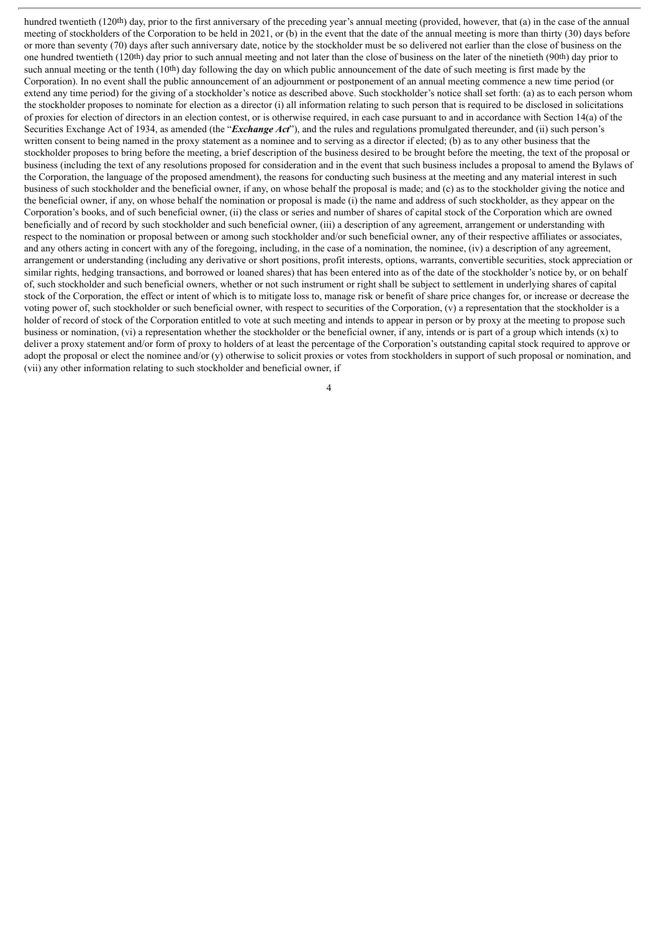hundred twentieth (120<sup>th</sup>) day, prior to the first anniversary of the preceding year's annual meeting (provided, however, that (a) in the case of the annual meeting of stockholders of the Corporation to be held in 2021, or (b) in the event that the date of the annual meeting is more than thirty (30) days before or more than seventy (70) days after such anniversary date, notice by the stockholder must be so delivered not earlier than the close of business on the one hundred twentieth (120th) day prior to such annual meeting and not later than the close of business on the later of the ninetieth (90th) day prior to such annual meeting or the tenth (10th) day following the day on which public announcement of the date of such meeting is first made by the Corporation). In no event shall the public announcement of an adjournment or postponement of an annual meeting commence a new time period (or extend any time period) for the giving of a stockholder's notice as described above. Such stockholder's notice shall set forth: (a) as to each person whom the stockholder proposes to nominate for election as a director (i) all information relating to such person that is required to be disclosed in solicitations of proxies for election of directors in an election contest, or is otherwise required, in each case pursuant to and in accordance with Section 14(a) of the Securities Exchange Act of 1934, as amended (the "*Exchange Act*"), and the rules and regulations promulgated thereunder, and (ii) such person's written consent to being named in the proxy statement as a nominee and to serving as a director if elected; (b) as to any other business that the stockholder proposes to bring before the meeting, a brief description of the business desired to be brought before the meeting, the text of the proposal or business (including the text of any resolutions proposed for consideration and in the event that such business includes a proposal to amend the Bylaws of the Corporation, the language of the proposed amendment), the reasons for conducting such business at the meeting and any material interest in such business of such stockholder and the beneficial owner, if any, on whose behalf the proposal is made; and (c) as to the stockholder giving the notice and the beneficial owner, if any, on whose behalf the nomination or proposal is made (i) the name and address of such stockholder, as they appear on the Corporation's books, and of such beneficial owner, (ii) the class or series and number of shares of capital stock of the Corporation which are owned beneficially and of record by such stockholder and such beneficial owner, (iii) a description of any agreement, arrangement or understanding with respect to the nomination or proposal between or among such stockholder and/or such beneficial owner, any of their respective affiliates or associates, and any others acting in concert with any of the foregoing, including, in the case of a nomination, the nominee, (iv) a description of any agreement, arrangement or understanding (including any derivative or short positions, profit interests, options, warrants, convertible securities, stock appreciation or similar rights, hedging transactions, and borrowed or loaned shares) that has been entered into as of the date of the stockholder's notice by, or on behalf of, such stockholder and such beneficial owners, whether or not such instrument or right shall be subject to settlement in underlying shares of capital stock of the Corporation, the effect or intent of which is to mitigate loss to, manage risk or benefit of share price changes for, or increase or decrease the voting power of, such stockholder or such beneficial owner, with respect to securities of the Corporation, (v) a representation that the stockholder is a holder of record of stock of the Corporation entitled to vote at such meeting and intends to appear in person or by proxy at the meeting to propose such business or nomination, (vi) a representation whether the stockholder or the beneficial owner, if any, intends or is part of a group which intends  $(x)$  to deliver a proxy statement and/or form of proxy to holders of at least the percentage of the Corporation's outstanding capital stock required to approve or adopt the proposal or elect the nominee and/or (y) otherwise to solicit proxies or votes from stockholders in support of such proposal or nomination, and (vii) any other information relating to such stockholder and beneficial owner, if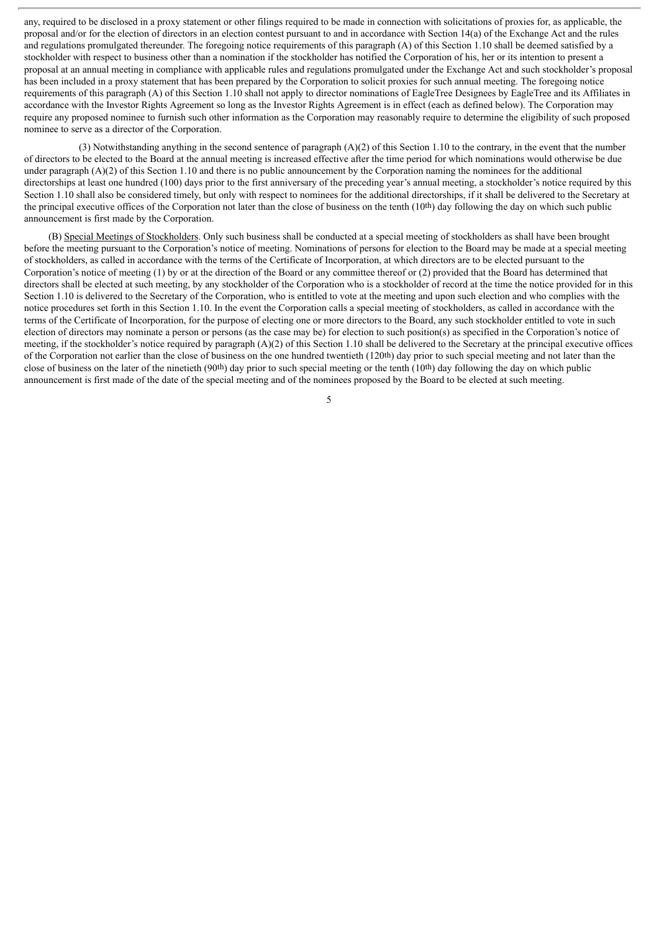any, required to be disclosed in a proxy statement or other filings required to be made in connection with solicitations of proxies for, as applicable, the proposal and/or for the election of directors in an election contest pursuant to and in accordance with Section 14(a) of the Exchange Act and the rules and regulations promulgated thereunder. The foregoing notice requirements of this paragraph (A) of this Section 1.10 shall be deemed satisfied by a stockholder with respect to business other than a nomination if the stockholder has notified the Corporation of his, her or its intention to present a proposal at an annual meeting in compliance with applicable rules and regulations promulgated under the Exchange Act and such stockholder's proposal has been included in a proxy statement that has been prepared by the Corporation to solicit proxies for such annual meeting. The foregoing notice requirements of this paragraph (A) of this Section 1.10 shall not apply to director nominations of EagleTree Designees by EagleTree and its Affiliates in accordance with the Investor Rights Agreement so long as the Investor Rights Agreement is in effect (each as defined below). The Corporation may require any proposed nominee to furnish such other information as the Corporation may reasonably require to determine the eligibility of such proposed nominee to serve as a director of the Corporation.

(3) Notwithstanding anything in the second sentence of paragraph (A)(2) of this Section 1.10 to the contrary, in the event that the number of directors to be elected to the Board at the annual meeting is increased effective after the time period for which nominations would otherwise be due under paragraph  $(A)(2)$  of this Section 1.10 and there is no public announcement by the Corporation naming the nominees for the additional directorships at least one hundred (100) days prior to the first anniversary of the preceding year's annual meeting, a stockholder's notice required by this Section 1.10 shall also be considered timely, but only with respect to nominees for the additional directorships, if it shall be delivered to the Secretary at the principal executive offices of the Corporation not later than the close of business on the tenth (10th) day following the day on which such public announcement is first made by the Corporation.

(B) Special Meetings of Stockholders. Only such business shall be conducted at a special meeting of stockholders as shall have been brought before the meeting pursuant to the Corporation's notice of meeting. Nominations of persons for election to the Board may be made at a special meeting of stockholders, as called in accordance with the terms of the Certificate of Incorporation, at which directors are to be elected pursuant to the Corporation's notice of meeting (1) by or at the direction of the Board or any committee thereof or (2) provided that the Board has determined that directors shall be elected at such meeting, by any stockholder of the Corporation who is a stockholder of record at the time the notice provided for in this Section 1.10 is delivered to the Secretary of the Corporation, who is entitled to vote at the meeting and upon such election and who complies with the notice procedures set forth in this Section 1.10. In the event the Corporation calls a special meeting of stockholders, as called in accordance with the terms of the Certificate of Incorporation, for the purpose of electing one or more directors to the Board, any such stockholder entitled to vote in such election of directors may nominate a person or persons (as the case may be) for election to such position(s) as specified in the Corporation's notice of meeting, if the stockholder's notice required by paragraph (A)(2) of this Section 1.10 shall be delivered to the Secretary at the principal executive offices of the Corporation not earlier than the close of business on the one hundred twentieth (120th) day prior to such special meeting and not later than the close of business on the later of the ninetieth (90<sup>th</sup>) day prior to such special meeting or the tenth (10<sup>th</sup>) day following the day on which public announcement is first made of the date of the special meeting and of the nominees proposed by the Board to be elected at such meeting.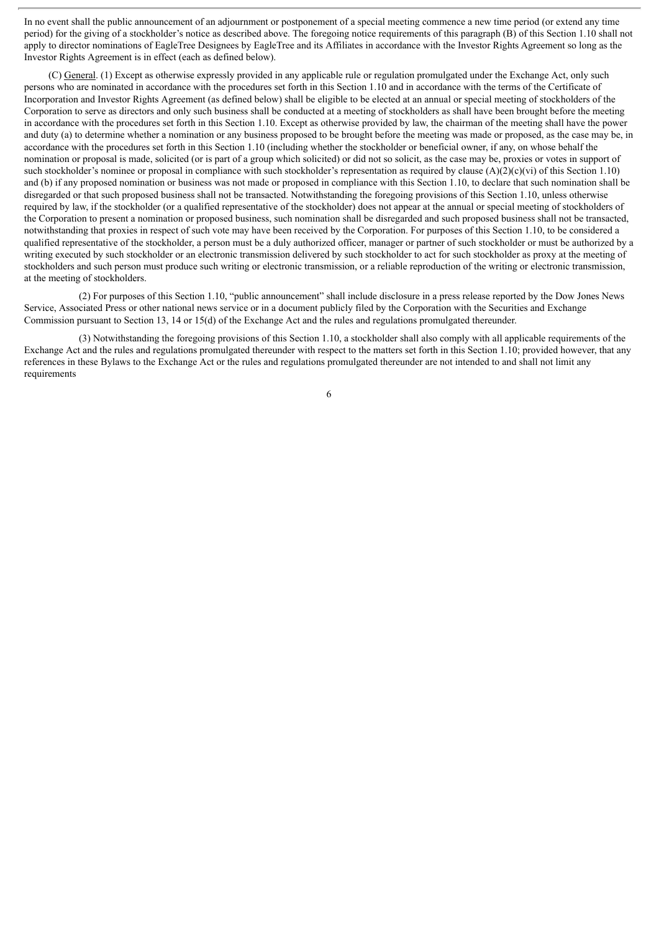In no event shall the public announcement of an adjournment or postponement of a special meeting commence a new time period (or extend any time period) for the giving of a stockholder's notice as described above. The foregoing notice requirements of this paragraph (B) of this Section 1.10 shall not apply to director nominations of EagleTree Designees by EagleTree and its Affiliates in accordance with the Investor Rights Agreement so long as the Investor Rights Agreement is in effect (each as defined below).

(C) General. (1) Except as otherwise expressly provided in any applicable rule or regulation promulgated under the Exchange Act, only such persons who are nominated in accordance with the procedures set forth in this Section 1.10 and in accordance with the terms of the Certificate of Incorporation and Investor Rights Agreement (as defined below) shall be eligible to be elected at an annual or special meeting of stockholders of the Corporation to serve as directors and only such business shall be conducted at a meeting of stockholders as shall have been brought before the meeting in accordance with the procedures set forth in this Section 1.10. Except as otherwise provided by law, the chairman of the meeting shall have the power and duty (a) to determine whether a nomination or any business proposed to be brought before the meeting was made or proposed, as the case may be, in accordance with the procedures set forth in this Section 1.10 (including whether the stockholder or beneficial owner, if any, on whose behalf the nomination or proposal is made, solicited (or is part of a group which solicited) or did not so solicit, as the case may be, proxies or votes in support of such stockholder's nominee or proposal in compliance with such stockholder's representation as required by clause (A)(2)(c)(vi) of this Section 1.10) and (b) if any proposed nomination or business was not made or proposed in compliance with this Section 1.10, to declare that such nomination shall be disregarded or that such proposed business shall not be transacted. Notwithstanding the foregoing provisions of this Section 1.10, unless otherwise required by law, if the stockholder (or a qualified representative of the stockholder) does not appear at the annual or special meeting of stockholders of the Corporation to present a nomination or proposed business, such nomination shall be disregarded and such proposed business shall not be transacted, notwithstanding that proxies in respect of such vote may have been received by the Corporation. For purposes of this Section 1.10, to be considered a qualified representative of the stockholder, a person must be a duly authorized officer, manager or partner of such stockholder or must be authorized by a writing executed by such stockholder or an electronic transmission delivered by such stockholder to act for such stockholder as proxy at the meeting of stockholders and such person must produce such writing or electronic transmission, or a reliable reproduction of the writing or electronic transmission, at the meeting of stockholders.

(2) For purposes of this Section 1.10, "public announcement" shall include disclosure in a press release reported by the Dow Jones News Service, Associated Press or other national news service or in a document publicly filed by the Corporation with the Securities and Exchange Commission pursuant to Section 13, 14 or 15(d) of the Exchange Act and the rules and regulations promulgated thereunder.

(3) Notwithstanding the foregoing provisions of this Section 1.10, a stockholder shall also comply with all applicable requirements of the Exchange Act and the rules and regulations promulgated thereunder with respect to the matters set forth in this Section 1.10; provided however, that any references in these Bylaws to the Exchange Act or the rules and regulations promulgated thereunder are not intended to and shall not limit any requirements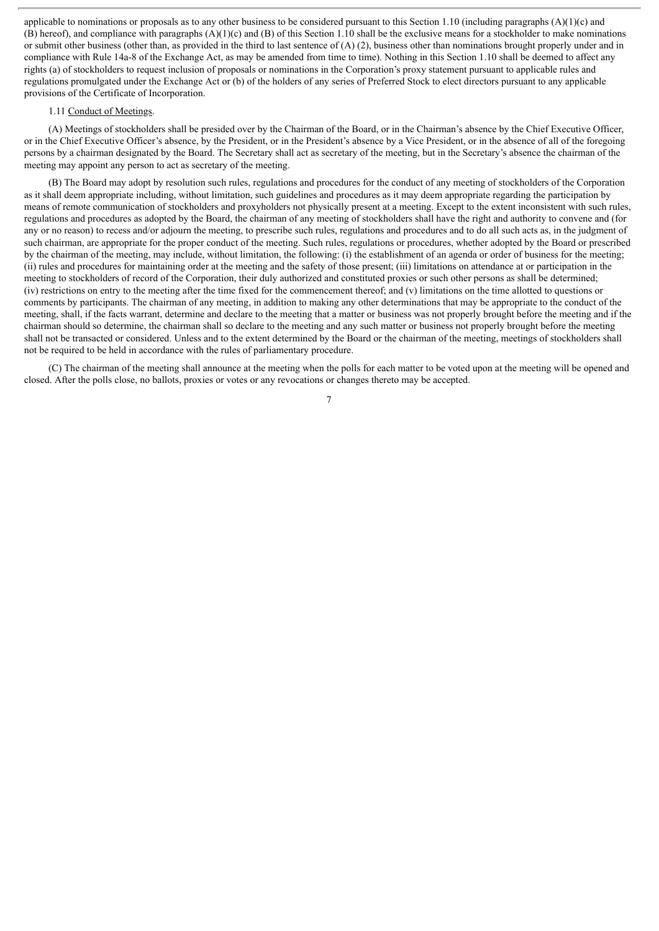applicable to nominations or proposals as to any other business to be considered pursuant to this Section 1.10 (including paragraphs  $(A)(1)(c)$ ) and (B) hereof), and compliance with paragraphs (A)(1)(c) and (B) of this Section 1.10 shall be the exclusive means for a stockholder to make nominations or submit other business (other than, as provided in the third to last sentence of  $(A)$  (2), business other than nominations brought properly under and in compliance with Rule 14a-8 of the Exchange Act, as may be amended from time to time). Nothing in this Section 1.10 shall be deemed to affect any rights (a) of stockholders to request inclusion of proposals or nominations in the Corporation's proxy statement pursuant to applicable rules and regulations promulgated under the Exchange Act or (b) of the holders of any series of Preferred Stock to elect directors pursuant to any applicable provisions of the Certificate of Incorporation.

### 1.11 Conduct of Meetings.

(A) Meetings of stockholders shall be presided over by the Chairman of the Board, or in the Chairman's absence by the Chief Executive Officer, or in the Chief Executive Officer's absence, by the President, or in the President's absence by a Vice President, or in the absence of all of the foregoing persons by a chairman designated by the Board. The Secretary shall act as secretary of the meeting, but in the Secretary's absence the chairman of the meeting may appoint any person to act as secretary of the meeting.

(B) The Board may adopt by resolution such rules, regulations and procedures for the conduct of any meeting of stockholders of the Corporation as it shall deem appropriate including, without limitation, such guidelines and procedures as it may deem appropriate regarding the participation by means of remote communication of stockholders and proxyholders not physically present at a meeting. Except to the extent inconsistent with such rules, regulations and procedures as adopted by the Board, the chairman of any meeting of stockholders shall have the right and authority to convene and (for any or no reason) to recess and/or adjourn the meeting, to prescribe such rules, regulations and procedures and to do all such acts as, in the judgment of such chairman, are appropriate for the proper conduct of the meeting. Such rules, regulations or procedures, whether adopted by the Board or prescribed by the chairman of the meeting, may include, without limitation, the following: (i) the establishment of an agenda or order of business for the meeting; (ii) rules and procedures for maintaining order at the meeting and the safety of those present; (iii) limitations on attendance at or participation in the meeting to stockholders of record of the Corporation, their duly authorized and constituted proxies or such other persons as shall be determined; (iv) restrictions on entry to the meeting after the time fixed for the commencement thereof; and (v) limitations on the time allotted to questions or comments by participants. The chairman of any meeting, in addition to making any other determinations that may be appropriate to the conduct of the meeting, shall, if the facts warrant, determine and declare to the meeting that a matter or business was not properly brought before the meeting and if the chairman should so determine, the chairman shall so declare to the meeting and any such matter or business not properly brought before the meeting shall not be transacted or considered. Unless and to the extent determined by the Board or the chairman of the meeting, meetings of stockholders shall not be required to be held in accordance with the rules of parliamentary procedure.

(C) The chairman of the meeting shall announce at the meeting when the polls for each matter to be voted upon at the meeting will be opened and closed. After the polls close, no ballots, proxies or votes or any revocations or changes thereto may be accepted.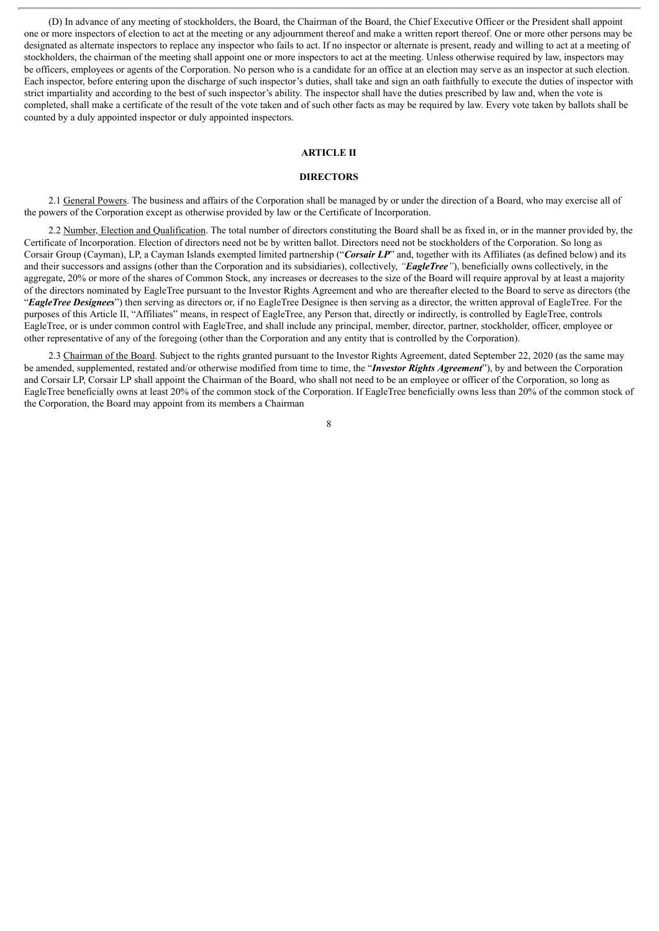(D) In advance of any meeting of stockholders, the Board, the Chairman of the Board, the Chief Executive Officer or the President shall appoint one or more inspectors of election to act at the meeting or any adjournment thereof and make a written report thereof. One or more other persons may be designated as alternate inspectors to replace any inspector who fails to act. If no inspector or alternate is present, ready and willing to act at a meeting of stockholders, the chairman of the meeting shall appoint one or more inspectors to act at the meeting. Unless otherwise required by law, inspectors may be officers, employees or agents of the Corporation. No person who is a candidate for an office at an election may serve as an inspector at such election. Each inspector, before entering upon the discharge of such inspector's duties, shall take and sign an oath faithfully to execute the duties of inspector with strict impartiality and according to the best of such inspector's ability. The inspector shall have the duties prescribed by law and, when the vote is completed, shall make a certificate of the result of the vote taken and of such other facts as may be required by law. Every vote taken by ballots shall be counted by a duly appointed inspector or duly appointed inspectors.

### **ARTICLE II**

### **DIRECTORS**

2.1 General Powers. The business and affairs of the Corporation shall be managed by or under the direction of a Board, who may exercise all of the powers of the Corporation except as otherwise provided by law or the Certificate of Incorporation.

2.2 Number, Election and Qualification. The total number of directors constituting the Board shall be as fixed in, or in the manner provided by, the Certificate of Incorporation. Election of directors need not be by written ballot. Directors need not be stockholders of the Corporation. So long as Corsair Group (Cayman), LP, a Cayman Islands exempted limited partnership ("*Corsair LP*" and, together with its Affiliates (as defined below) and its and their successors and assigns (other than the Corporation and its subsidiaries), collectively, *"EagleTree"*), beneficially owns collectively, in the aggregate, 20% or more of the shares of Common Stock, any increases or decreases to the size of the Board will require approval by at least a majority of the directors nominated by EagleTree pursuant to the Investor Rights Agreement and who are thereafter elected to the Board to serve as directors (the "*EagleTree Designees*") then serving as directors or, if no EagleTree Designee is then serving as a director, the written approval of EagleTree. For the purposes of this Article II, "Affiliates" means, in respect of EagleTree, any Person that, directly or indirectly, is controlled by EagleTree, controls EagleTree, or is under common control with EagleTree, and shall include any principal, member, director, partner, stockholder, officer, employee or other representative of any of the foregoing (other than the Corporation and any entity that is controlled by the Corporation).

2.3 Chairman of the Board. Subject to the rights granted pursuant to the Investor Rights Agreement, dated September 22, 2020 (as the same may be amended, supplemented, restated and/or otherwise modified from time to time, the "*Investor Rights Agreement*"), by and between the Corporation and Corsair LP, Corsair LP shall appoint the Chairman of the Board, who shall not need to be an employee or officer of the Corporation, so long as EagleTree beneficially owns at least 20% of the common stock of the Corporation. If EagleTree beneficially owns less than 20% of the common stock of the Corporation, the Board may appoint from its members a Chairman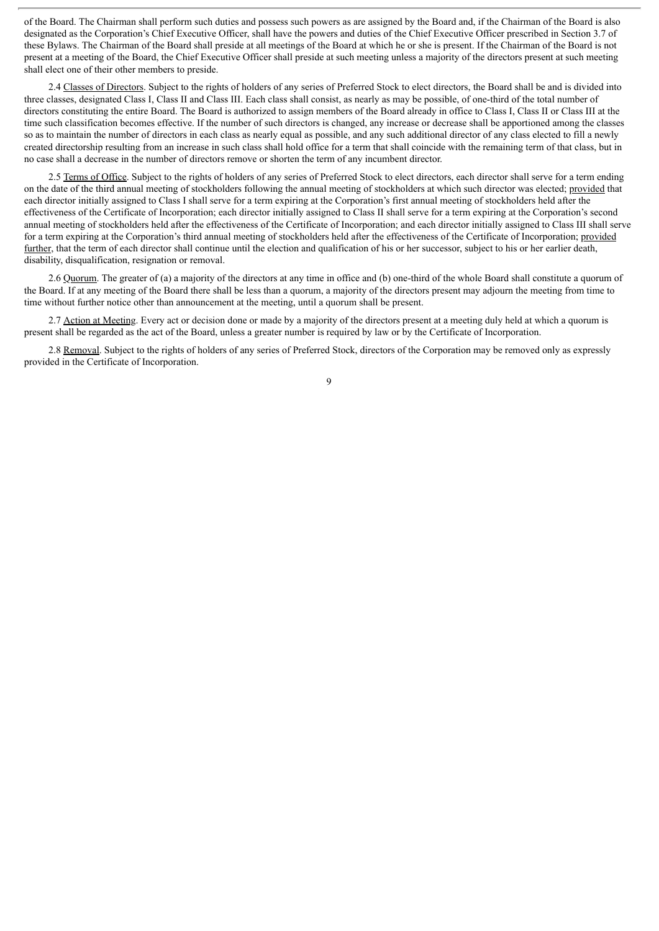of the Board. The Chairman shall perform such duties and possess such powers as are assigned by the Board and, if the Chairman of the Board is also designated as the Corporation's Chief Executive Officer, shall have the powers and duties of the Chief Executive Officer prescribed in Section 3.7 of these Bylaws. The Chairman of the Board shall preside at all meetings of the Board at which he or she is present. If the Chairman of the Board is not present at a meeting of the Board, the Chief Executive Officer shall preside at such meeting unless a majority of the directors present at such meeting shall elect one of their other members to preside.

2.4 Classes of Directors. Subject to the rights of holders of any series of Preferred Stock to elect directors, the Board shall be and is divided into three classes, designated Class I, Class II and Class III. Each class shall consist, as nearly as may be possible, of one-third of the total number of directors constituting the entire Board. The Board is authorized to assign members of the Board already in office to Class I, Class II or Class III at the time such classification becomes effective. If the number of such directors is changed, any increase or decrease shall be apportioned among the classes so as to maintain the number of directors in each class as nearly equal as possible, and any such additional director of any class elected to fill a newly created directorship resulting from an increase in such class shall hold office for a term that shall coincide with the remaining term of that class, but in no case shall a decrease in the number of directors remove or shorten the term of any incumbent director.

2.5 Terms of Office. Subject to the rights of holders of any series of Preferred Stock to elect directors, each director shall serve for a term ending on the date of the third annual meeting of stockholders following the annual meeting of stockholders at which such director was elected; provided that each director initially assigned to Class I shall serve for a term expiring at the Corporation's first annual meeting of stockholders held after the effectiveness of the Certificate of Incorporation; each director initially assigned to Class II shall serve for a term expiring at the Corporation's second annual meeting of stockholders held after the effectiveness of the Certificate of Incorporation; and each director initially assigned to Class III shall serve for a term expiring at the Corporation's third annual meeting of stockholders held after the effectiveness of the Certificate of Incorporation; provided further, that the term of each director shall continue until the election and qualification of his or her successor, subject to his or her earlier death, disability, disqualification, resignation or removal.

2.6 Quorum. The greater of (a) a majority of the directors at any time in office and (b) one-third of the whole Board shall constitute a quorum of the Board. If at any meeting of the Board there shall be less than a quorum, a majority of the directors present may adjourn the meeting from time to time without further notice other than announcement at the meeting, until a quorum shall be present.

2.7 Action at Meeting. Every act or decision done or made by a majority of the directors present at a meeting duly held at which a quorum is present shall be regarded as the act of the Board, unless a greater number is required by law or by the Certificate of Incorporation.

2.8 Removal. Subject to the rights of holders of any series of Preferred Stock, directors of the Corporation may be removed only as expressly provided in the Certificate of Incorporation.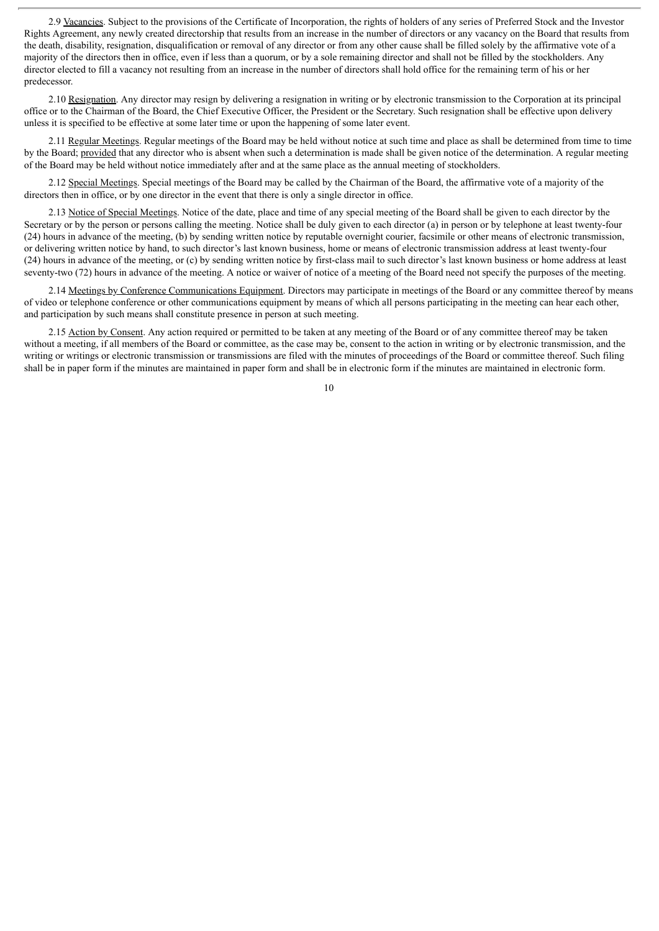2.9 Vacancies. Subject to the provisions of the Certificate of Incorporation, the rights of holders of any series of Preferred Stock and the Investor Rights Agreement, any newly created directorship that results from an increase in the number of directors or any vacancy on the Board that results from the death, disability, resignation, disqualification or removal of any director or from any other cause shall be filled solely by the affirmative vote of a majority of the directors then in office, even if less than a quorum, or by a sole remaining director and shall not be filled by the stockholders. Any director elected to fill a vacancy not resulting from an increase in the number of directors shall hold office for the remaining term of his or her predecessor.

2.10 Resignation. Any director may resign by delivering a resignation in writing or by electronic transmission to the Corporation at its principal office or to the Chairman of the Board, the Chief Executive Officer, the President or the Secretary. Such resignation shall be effective upon delivery unless it is specified to be effective at some later time or upon the happening of some later event.

2.11 Regular Meetings. Regular meetings of the Board may be held without notice at such time and place as shall be determined from time to time by the Board; provided that any director who is absent when such a determination is made shall be given notice of the determination. A regular meeting of the Board may be held without notice immediately after and at the same place as the annual meeting of stockholders.

2.12 Special Meetings. Special meetings of the Board may be called by the Chairman of the Board, the affirmative vote of a majority of the directors then in office, or by one director in the event that there is only a single director in office.

2.13 Notice of Special Meetings. Notice of the date, place and time of any special meeting of the Board shall be given to each director by the Secretary or by the person or persons calling the meeting. Notice shall be duly given to each director (a) in person or by telephone at least twenty-four (24) hours in advance of the meeting, (b) by sending written notice by reputable overnight courier, facsimile or other means of electronic transmission, or delivering written notice by hand, to such director's last known business, home or means of electronic transmission address at least twenty-four (24) hours in advance of the meeting, or (c) by sending written notice by first-class mail to such director's last known business or home address at least seventy-two (72) hours in advance of the meeting. A notice or waiver of notice of a meeting of the Board need not specify the purposes of the meeting.

2.14 Meetings by Conference Communications Equipment. Directors may participate in meetings of the Board or any committee thereof by means of video or telephone conference or other communications equipment by means of which all persons participating in the meeting can hear each other, and participation by such means shall constitute presence in person at such meeting.

2.15 Action by Consent. Any action required or permitted to be taken at any meeting of the Board or of any committee thereof may be taken without a meeting, if all members of the Board or committee, as the case may be, consent to the action in writing or by electronic transmission, and the writing or writings or electronic transmission or transmissions are filed with the minutes of proceedings of the Board or committee thereof. Such filing shall be in paper form if the minutes are maintained in paper form and shall be in electronic form if the minutes are maintained in electronic form.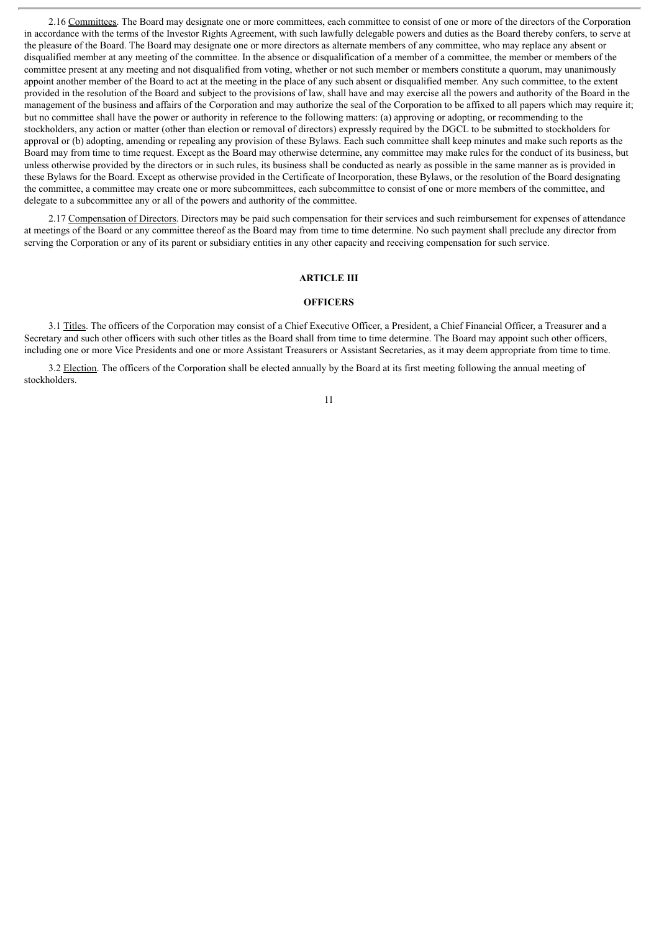2.16 Committees. The Board may designate one or more committees, each committee to consist of one or more of the directors of the Corporation in accordance with the terms of the Investor Rights Agreement, with such lawfully delegable powers and duties as the Board thereby confers, to serve at the pleasure of the Board. The Board may designate one or more directors as alternate members of any committee, who may replace any absent or disqualified member at any meeting of the committee. In the absence or disqualification of a member of a committee, the member or members of the committee present at any meeting and not disqualified from voting, whether or not such member or members constitute a quorum, may unanimously appoint another member of the Board to act at the meeting in the place of any such absent or disqualified member. Any such committee, to the extent provided in the resolution of the Board and subject to the provisions of law, shall have and may exercise all the powers and authority of the Board in the management of the business and affairs of the Corporation and may authorize the seal of the Corporation to be affixed to all papers which may require it; but no committee shall have the power or authority in reference to the following matters: (a) approving or adopting, or recommending to the stockholders, any action or matter (other than election or removal of directors) expressly required by the DGCL to be submitted to stockholders for approval or (b) adopting, amending or repealing any provision of these Bylaws. Each such committee shall keep minutes and make such reports as the Board may from time to time request. Except as the Board may otherwise determine, any committee may make rules for the conduct of its business, but unless otherwise provided by the directors or in such rules, its business shall be conducted as nearly as possible in the same manner as is provided in these Bylaws for the Board. Except as otherwise provided in the Certificate of Incorporation, these Bylaws, or the resolution of the Board designating the committee, a committee may create one or more subcommittees, each subcommittee to consist of one or more members of the committee, and delegate to a subcommittee any or all of the powers and authority of the committee.

2.17 Compensation of Directors. Directors may be paid such compensation for their services and such reimbursement for expenses of attendance at meetings of the Board or any committee thereof as the Board may from time to time determine. No such payment shall preclude any director from serving the Corporation or any of its parent or subsidiary entities in any other capacity and receiving compensation for such service.

### **ARTICLE III**

#### **OFFICERS**

3.1 Titles. The officers of the Corporation may consist of a Chief Executive Officer, a President, a Chief Financial Officer, a Treasurer and a Secretary and such other officers with such other titles as the Board shall from time to time determine. The Board may appoint such other officers, including one or more Vice Presidents and one or more Assistant Treasurers or Assistant Secretaries, as it may deem appropriate from time to time.

3.2 Election. The officers of the Corporation shall be elected annually by the Board at its first meeting following the annual meeting of stockholders.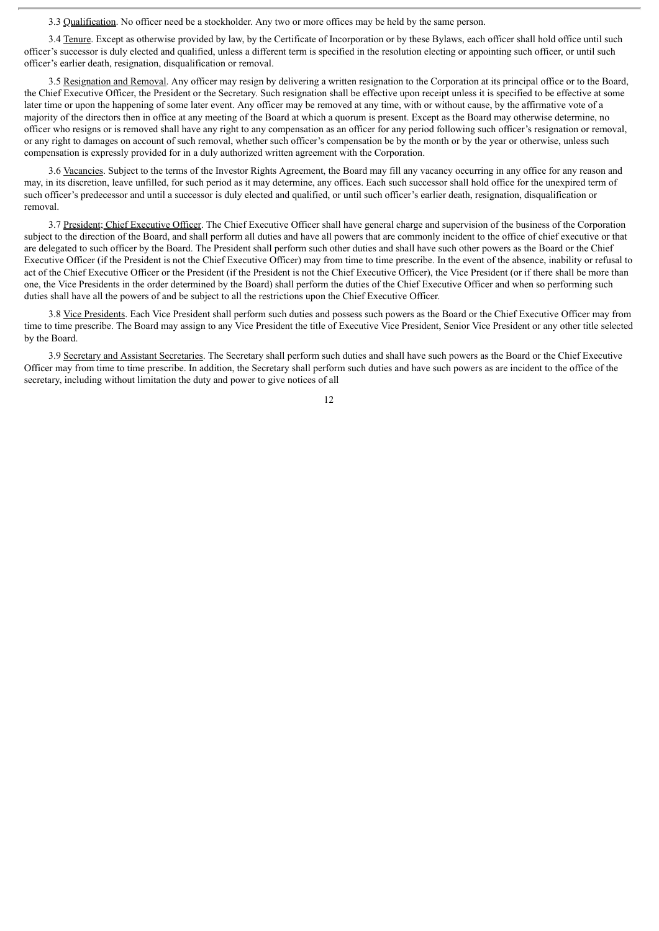3.3 Qualification. No officer need be a stockholder. Any two or more offices may be held by the same person.

3.4 Tenure. Except as otherwise provided by law, by the Certificate of Incorporation or by these Bylaws, each officer shall hold office until such officer's successor is duly elected and qualified, unless a different term is specified in the resolution electing or appointing such officer, or until such officer's earlier death, resignation, disqualification or removal.

3.5 Resignation and Removal. Any officer may resign by delivering a written resignation to the Corporation at its principal office or to the Board, the Chief Executive Officer, the President or the Secretary. Such resignation shall be effective upon receipt unless it is specified to be effective at some later time or upon the happening of some later event. Any officer may be removed at any time, with or without cause, by the affirmative vote of a majority of the directors then in office at any meeting of the Board at which a quorum is present. Except as the Board may otherwise determine, no officer who resigns or is removed shall have any right to any compensation as an officer for any period following such officer's resignation or removal, or any right to damages on account of such removal, whether such officer's compensation be by the month or by the year or otherwise, unless such compensation is expressly provided for in a duly authorized written agreement with the Corporation.

3.6 Vacancies. Subject to the terms of the Investor Rights Agreement, the Board may fill any vacancy occurring in any office for any reason and may, in its discretion, leave unfilled, for such period as it may determine, any offices. Each such successor shall hold office for the unexpired term of such officer's predecessor and until a successor is duly elected and qualified, or until such officer's earlier death, resignation, disqualification or removal.

3.7 President; Chief Executive Officer. The Chief Executive Officer shall have general charge and supervision of the business of the Corporation subject to the direction of the Board, and shall perform all duties and have all powers that are commonly incident to the office of chief executive or that are delegated to such officer by the Board. The President shall perform such other duties and shall have such other powers as the Board or the Chief Executive Officer (if the President is not the Chief Executive Officer) may from time to time prescribe. In the event of the absence, inability or refusal to act of the Chief Executive Officer or the President (if the President is not the Chief Executive Officer), the Vice President (or if there shall be more than one, the Vice Presidents in the order determined by the Board) shall perform the duties of the Chief Executive Officer and when so performing such duties shall have all the powers of and be subject to all the restrictions upon the Chief Executive Officer.

3.8 Vice Presidents. Each Vice President shall perform such duties and possess such powers as the Board or the Chief Executive Officer may from time to time prescribe. The Board may assign to any Vice President the title of Executive Vice President, Senior Vice President or any other title selected by the Board.

3.9 Secretary and Assistant Secretaries. The Secretary shall perform such duties and shall have such powers as the Board or the Chief Executive Officer may from time to time prescribe. In addition, the Secretary shall perform such duties and have such powers as are incident to the office of the secretary, including without limitation the duty and power to give notices of all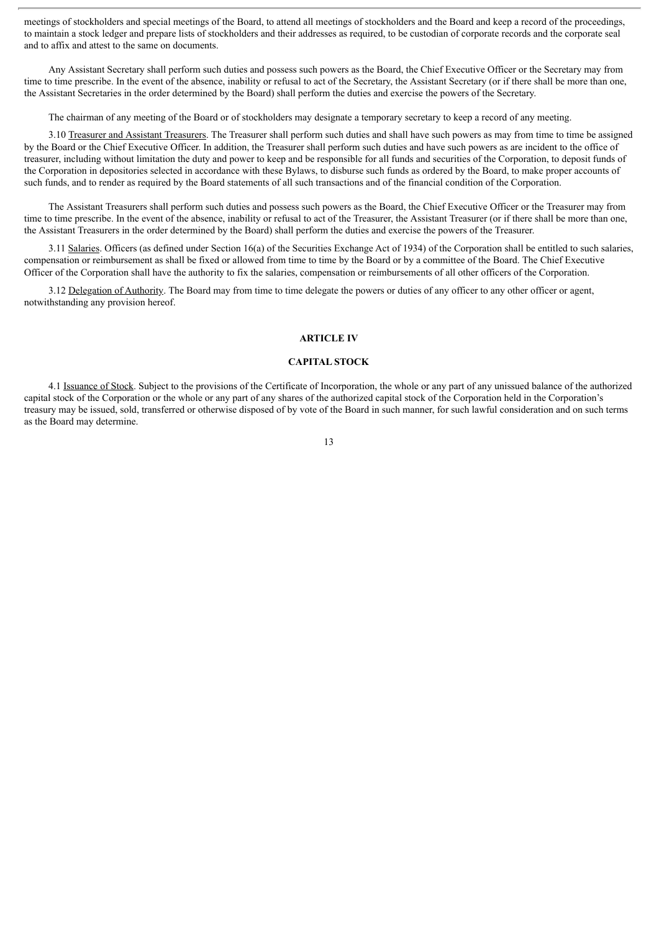meetings of stockholders and special meetings of the Board, to attend all meetings of stockholders and the Board and keep a record of the proceedings, to maintain a stock ledger and prepare lists of stockholders and their addresses as required, to be custodian of corporate records and the corporate seal and to affix and attest to the same on documents.

Any Assistant Secretary shall perform such duties and possess such powers as the Board, the Chief Executive Officer or the Secretary may from time to time prescribe. In the event of the absence, inability or refusal to act of the Secretary, the Assistant Secretary (or if there shall be more than one, the Assistant Secretaries in the order determined by the Board) shall perform the duties and exercise the powers of the Secretary.

The chairman of any meeting of the Board or of stockholders may designate a temporary secretary to keep a record of any meeting.

3.10 Treasurer and Assistant Treasurers. The Treasurer shall perform such duties and shall have such powers as may from time to time be assigned by the Board or the Chief Executive Officer. In addition, the Treasurer shall perform such duties and have such powers as are incident to the office of treasurer, including without limitation the duty and power to keep and be responsible for all funds and securities of the Corporation, to deposit funds of the Corporation in depositories selected in accordance with these Bylaws, to disburse such funds as ordered by the Board, to make proper accounts of such funds, and to render as required by the Board statements of all such transactions and of the financial condition of the Corporation.

The Assistant Treasurers shall perform such duties and possess such powers as the Board, the Chief Executive Officer or the Treasurer may from time to time prescribe. In the event of the absence, inability or refusal to act of the Treasurer, the Assistant Treasurer (or if there shall be more than one, the Assistant Treasurers in the order determined by the Board) shall perform the duties and exercise the powers of the Treasurer.

3.11 Salaries. Officers (as defined under Section 16(a) of the Securities Exchange Act of 1934) of the Corporation shall be entitled to such salaries, compensation or reimbursement as shall be fixed or allowed from time to time by the Board or by a committee of the Board. The Chief Executive Officer of the Corporation shall have the authority to fix the salaries, compensation or reimbursements of all other officers of the Corporation.

3.12 Delegation of Authority. The Board may from time to time delegate the powers or duties of any officer to any other officer or agent, notwithstanding any provision hereof.

### **ARTICLE IV**

### **CAPITAL STOCK**

4.1 Issuance of Stock. Subject to the provisions of the Certificate of Incorporation, the whole or any part of any unissued balance of the authorized capital stock of the Corporation or the whole or any part of any shares of the authorized capital stock of the Corporation held in the Corporation's treasury may be issued, sold, transferred or otherwise disposed of by vote of the Board in such manner, for such lawful consideration and on such terms as the Board may determine.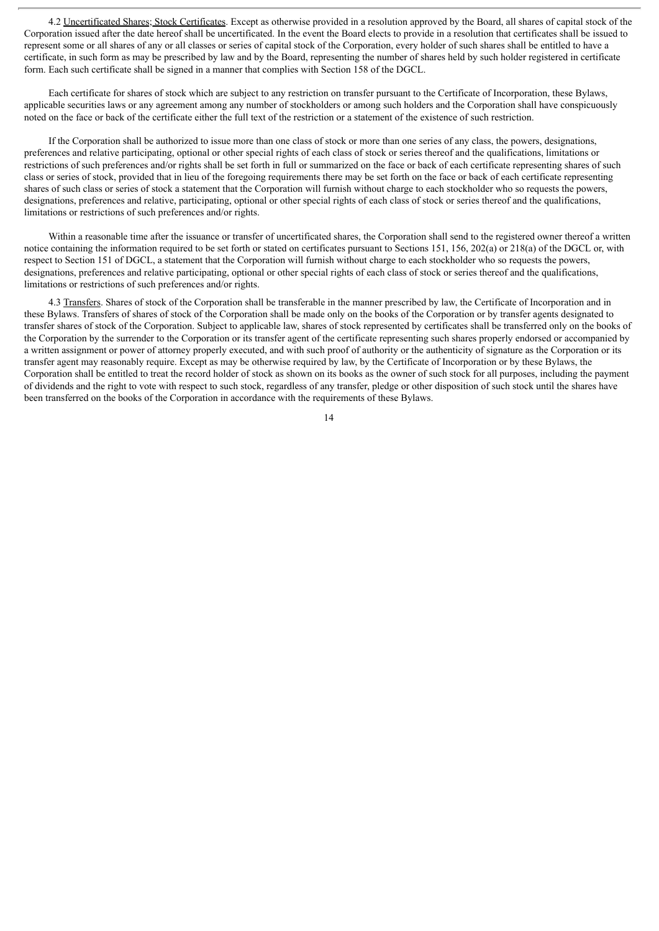4.2 Uncertificated Shares; Stock Certificates. Except as otherwise provided in a resolution approved by the Board, all shares of capital stock of the Corporation issued after the date hereof shall be uncertificated. In the event the Board elects to provide in a resolution that certificates shall be issued to represent some or all shares of any or all classes or series of capital stock of the Corporation, every holder of such shares shall be entitled to have a certificate, in such form as may be prescribed by law and by the Board, representing the number of shares held by such holder registered in certificate form. Each such certificate shall be signed in a manner that complies with Section 158 of the DGCL.

Each certificate for shares of stock which are subject to any restriction on transfer pursuant to the Certificate of Incorporation, these Bylaws, applicable securities laws or any agreement among any number of stockholders or among such holders and the Corporation shall have conspicuously noted on the face or back of the certificate either the full text of the restriction or a statement of the existence of such restriction.

If the Corporation shall be authorized to issue more than one class of stock or more than one series of any class, the powers, designations, preferences and relative participating, optional or other special rights of each class of stock or series thereof and the qualifications, limitations or restrictions of such preferences and/or rights shall be set forth in full or summarized on the face or back of each certificate representing shares of such class or series of stock, provided that in lieu of the foregoing requirements there may be set forth on the face or back of each certificate representing shares of such class or series of stock a statement that the Corporation will furnish without charge to each stockholder who so requests the powers, designations, preferences and relative, participating, optional or other special rights of each class of stock or series thereof and the qualifications, limitations or restrictions of such preferences and/or rights.

Within a reasonable time after the issuance or transfer of uncertificated shares, the Corporation shall send to the registered owner thereof a written notice containing the information required to be set forth or stated on certificates pursuant to Sections 151, 156, 202(a) or 218(a) of the DGCL or, with respect to Section 151 of DGCL, a statement that the Corporation will furnish without charge to each stockholder who so requests the powers, designations, preferences and relative participating, optional or other special rights of each class of stock or series thereof and the qualifications, limitations or restrictions of such preferences and/or rights.

4.3 Transfers. Shares of stock of the Corporation shall be transferable in the manner prescribed by law, the Certificate of Incorporation and in these Bylaws. Transfers of shares of stock of the Corporation shall be made only on the books of the Corporation or by transfer agents designated to transfer shares of stock of the Corporation. Subject to applicable law, shares of stock represented by certificates shall be transferred only on the books of the Corporation by the surrender to the Corporation or its transfer agent of the certificate representing such shares properly endorsed or accompanied by a written assignment or power of attorney properly executed, and with such proof of authority or the authenticity of signature as the Corporation or its transfer agent may reasonably require. Except as may be otherwise required by law, by the Certificate of Incorporation or by these Bylaws, the Corporation shall be entitled to treat the record holder of stock as shown on its books as the owner of such stock for all purposes, including the payment of dividends and the right to vote with respect to such stock, regardless of any transfer, pledge or other disposition of such stock until the shares have been transferred on the books of the Corporation in accordance with the requirements of these Bylaws.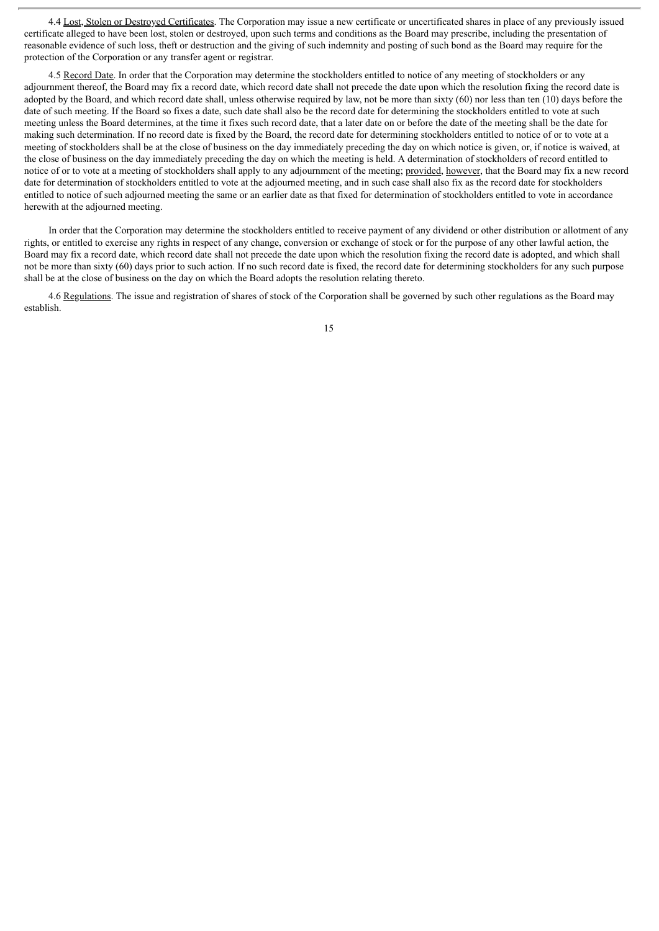4.4 Lost, Stolen or Destroyed Certificates. The Corporation may issue a new certificate or uncertificated shares in place of any previously issued certificate alleged to have been lost, stolen or destroyed, upon such terms and conditions as the Board may prescribe, including the presentation of reasonable evidence of such loss, theft or destruction and the giving of such indemnity and posting of such bond as the Board may require for the protection of the Corporation or any transfer agent or registrar.

4.5 Record Date. In order that the Corporation may determine the stockholders entitled to notice of any meeting of stockholders or any adjournment thereof, the Board may fix a record date, which record date shall not precede the date upon which the resolution fixing the record date is adopted by the Board, and which record date shall, unless otherwise required by law, not be more than sixty (60) nor less than ten (10) days before the date of such meeting. If the Board so fixes a date, such date shall also be the record date for determining the stockholders entitled to vote at such meeting unless the Board determines, at the time it fixes such record date, that a later date on or before the date of the meeting shall be the date for making such determination. If no record date is fixed by the Board, the record date for determining stockholders entitled to notice of or to vote at a meeting of stockholders shall be at the close of business on the day immediately preceding the day on which notice is given, or, if notice is waived, at the close of business on the day immediately preceding the day on which the meeting is held. A determination of stockholders of record entitled to notice of or to vote at a meeting of stockholders shall apply to any adjournment of the meeting; provided, however, that the Board may fix a new record date for determination of stockholders entitled to vote at the adjourned meeting, and in such case shall also fix as the record date for stockholders entitled to notice of such adjourned meeting the same or an earlier date as that fixed for determination of stockholders entitled to vote in accordance herewith at the adjourned meeting.

In order that the Corporation may determine the stockholders entitled to receive payment of any dividend or other distribution or allotment of any rights, or entitled to exercise any rights in respect of any change, conversion or exchange of stock or for the purpose of any other lawful action, the Board may fix a record date, which record date shall not precede the date upon which the resolution fixing the record date is adopted, and which shall not be more than sixty (60) days prior to such action. If no such record date is fixed, the record date for determining stockholders for any such purpose shall be at the close of business on the day on which the Board adopts the resolution relating thereto.

4.6 Regulations. The issue and registration of shares of stock of the Corporation shall be governed by such other regulations as the Board may establish.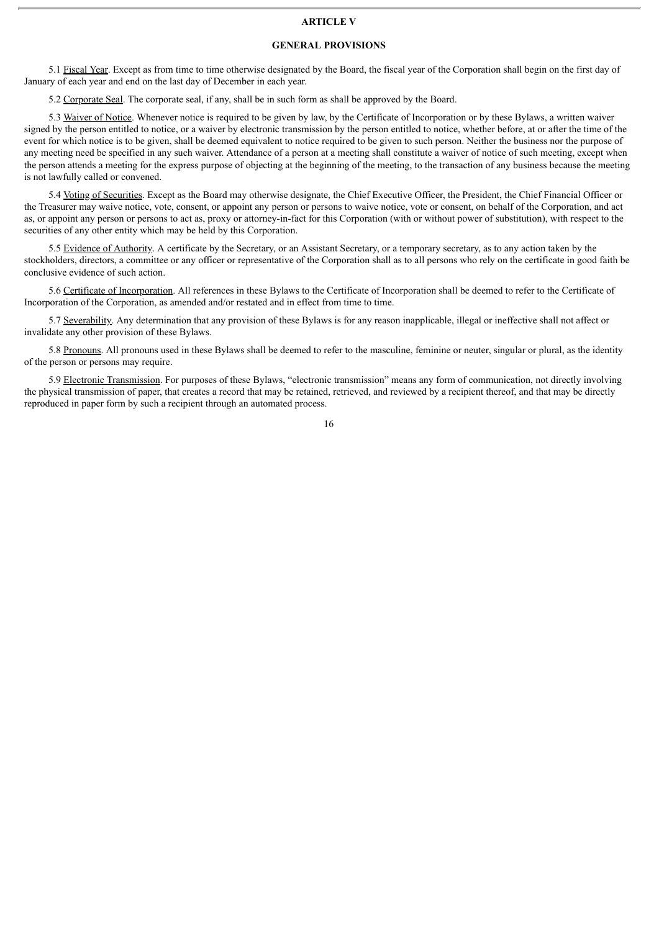### **ARTICLE V**

### **GENERAL PROVISIONS**

5.1 Fiscal Year. Except as from time to time otherwise designated by the Board, the fiscal year of the Corporation shall begin on the first day of January of each year and end on the last day of December in each year.

5.2 Corporate Seal. The corporate seal, if any, shall be in such form as shall be approved by the Board.

5.3 Waiver of Notice. Whenever notice is required to be given by law, by the Certificate of Incorporation or by these Bylaws, a written waiver signed by the person entitled to notice, or a waiver by electronic transmission by the person entitled to notice, whether before, at or after the time of the event for which notice is to be given, shall be deemed equivalent to notice required to be given to such person. Neither the business nor the purpose of any meeting need be specified in any such waiver. Attendance of a person at a meeting shall constitute a waiver of notice of such meeting, except when the person attends a meeting for the express purpose of objecting at the beginning of the meeting, to the transaction of any business because the meeting is not lawfully called or convened.

5.4 Voting of Securities. Except as the Board may otherwise designate, the Chief Executive Officer, the President, the Chief Financial Officer or the Treasurer may waive notice, vote, consent, or appoint any person or persons to waive notice, vote or consent, on behalf of the Corporation, and act as, or appoint any person or persons to act as, proxy or attorney-in-fact for this Corporation (with or without power of substitution), with respect to the securities of any other entity which may be held by this Corporation.

5.5 Evidence of Authority. A certificate by the Secretary, or an Assistant Secretary, or a temporary secretary, as to any action taken by the stockholders, directors, a committee or any officer or representative of the Corporation shall as to all persons who rely on the certificate in good faith be conclusive evidence of such action.

5.6 Certificate of Incorporation. All references in these Bylaws to the Certificate of Incorporation shall be deemed to refer to the Certificate of Incorporation of the Corporation, as amended and/or restated and in effect from time to time.

5.7 Severability. Any determination that any provision of these Bylaws is for any reason inapplicable, illegal or ineffective shall not affect or invalidate any other provision of these Bylaws.

5.8 Pronouns. All pronouns used in these Bylaws shall be deemed to refer to the masculine, feminine or neuter, singular or plural, as the identity of the person or persons may require.

5.9 Electronic Transmission. For purposes of these Bylaws, "electronic transmission" means any form of communication, not directly involving the physical transmission of paper, that creates a record that may be retained, retrieved, and reviewed by a recipient thereof, and that may be directly reproduced in paper form by such a recipient through an automated process.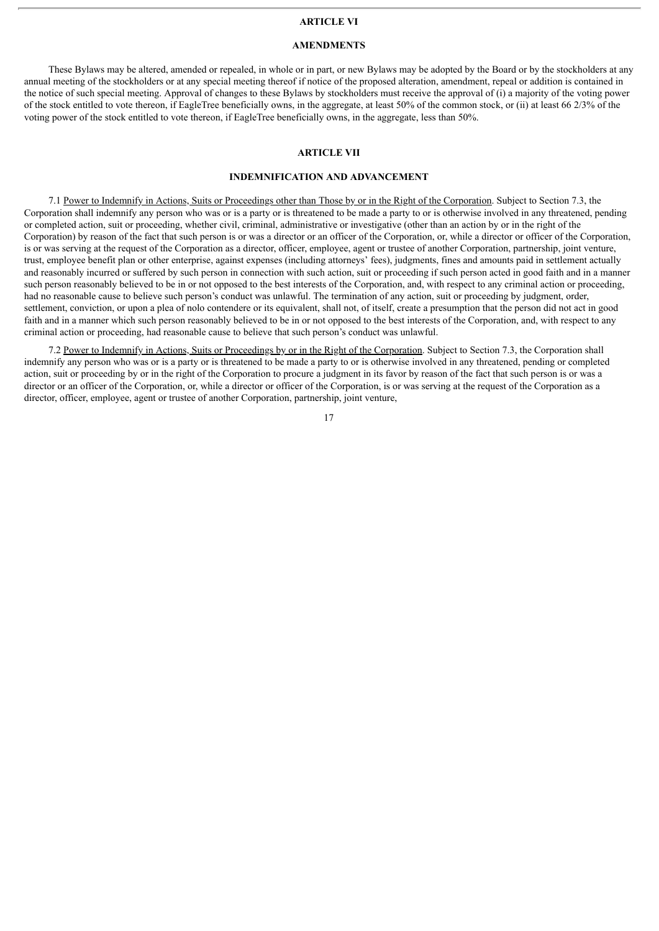### **ARTICLE VI**

### **AMENDMENTS**

These Bylaws may be altered, amended or repealed, in whole or in part, or new Bylaws may be adopted by the Board or by the stockholders at any annual meeting of the stockholders or at any special meeting thereof if notice of the proposed alteration, amendment, repeal or addition is contained in the notice of such special meeting. Approval of changes to these Bylaws by stockholders must receive the approval of (i) a majority of the voting power of the stock entitled to vote thereon, if EagleTree beneficially owns, in the aggregate, at least 50% of the common stock, or (ii) at least 66 2/3% of the voting power of the stock entitled to vote thereon, if EagleTree beneficially owns, in the aggregate, less than 50%.

### **ARTICLE VII**

### **INDEMNIFICATION AND ADVANCEMENT**

7.1 Power to Indemnify in Actions, Suits or Proceedings other than Those by or in the Right of the Corporation. Subject to Section 7.3, the Corporation shall indemnify any person who was or is a party or is threatened to be made a party to or is otherwise involved in any threatened, pending or completed action, suit or proceeding, whether civil, criminal, administrative or investigative (other than an action by or in the right of the Corporation) by reason of the fact that such person is or was a director or an officer of the Corporation, or, while a director or officer of the Corporation, is or was serving at the request of the Corporation as a director, officer, employee, agent or trustee of another Corporation, partnership, joint venture, trust, employee benefit plan or other enterprise, against expenses (including attorneys' fees), judgments, fines and amounts paid in settlement actually and reasonably incurred or suffered by such person in connection with such action, suit or proceeding if such person acted in good faith and in a manner such person reasonably believed to be in or not opposed to the best interests of the Corporation, and, with respect to any criminal action or proceeding, had no reasonable cause to believe such person's conduct was unlawful. The termination of any action, suit or proceeding by judgment, order, settlement, conviction, or upon a plea of nolo contendere or its equivalent, shall not, of itself, create a presumption that the person did not act in good faith and in a manner which such person reasonably believed to be in or not opposed to the best interests of the Corporation, and, with respect to any criminal action or proceeding, had reasonable cause to believe that such person's conduct was unlawful.

7.2 Power to Indemnify in Actions, Suits or Proceedings by or in the Right of the Corporation. Subject to Section 7.3, the Corporation shall indemnify any person who was or is a party or is threatened to be made a party to or is otherwise involved in any threatened, pending or completed action, suit or proceeding by or in the right of the Corporation to procure a judgment in its favor by reason of the fact that such person is or was a director or an officer of the Corporation, or, while a director or officer of the Corporation, is or was serving at the request of the Corporation as a director, officer, employee, agent or trustee of another Corporation, partnership, joint venture,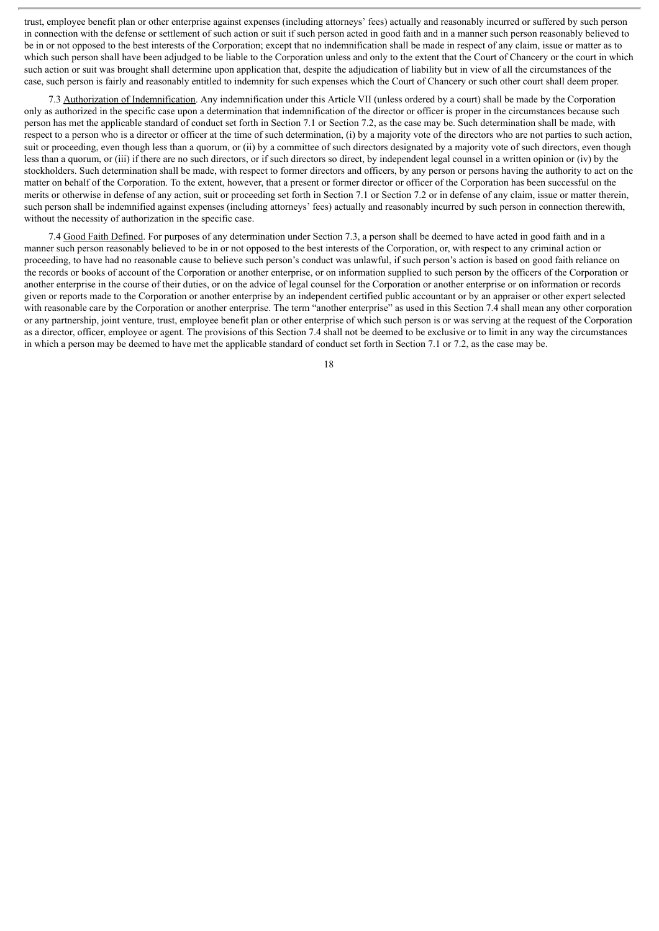trust, employee benefit plan or other enterprise against expenses (including attorneys' fees) actually and reasonably incurred or suffered by such person in connection with the defense or settlement of such action or suit if such person acted in good faith and in a manner such person reasonably believed to be in or not opposed to the best interests of the Corporation; except that no indemnification shall be made in respect of any claim, issue or matter as to which such person shall have been adjudged to be liable to the Corporation unless and only to the extent that the Court of Chancery or the court in which such action or suit was brought shall determine upon application that, despite the adjudication of liability but in view of all the circumstances of the case, such person is fairly and reasonably entitled to indemnity for such expenses which the Court of Chancery or such other court shall deem proper.

7.3 Authorization of Indemnification. Any indemnification under this Article VII (unless ordered by a court) shall be made by the Corporation only as authorized in the specific case upon a determination that indemnification of the director or officer is proper in the circumstances because such person has met the applicable standard of conduct set forth in Section 7.1 or Section 7.2, as the case may be. Such determination shall be made, with respect to a person who is a director or officer at the time of such determination, (i) by a majority vote of the directors who are not parties to such action, suit or proceeding, even though less than a quorum, or (ii) by a committee of such directors designated by a majority vote of such directors, even though less than a quorum, or (iii) if there are no such directors, or if such directors so direct, by independent legal counsel in a written opinion or (iv) by the stockholders. Such determination shall be made, with respect to former directors and officers, by any person or persons having the authority to act on the matter on behalf of the Corporation. To the extent, however, that a present or former director or officer of the Corporation has been successful on the merits or otherwise in defense of any action, suit or proceeding set forth in Section 7.1 or Section 7.2 or in defense of any claim, issue or matter therein, such person shall be indemnified against expenses (including attorneys' fees) actually and reasonably incurred by such person in connection therewith, without the necessity of authorization in the specific case.

7.4 Good Faith Defined. For purposes of any determination under Section 7.3, a person shall be deemed to have acted in good faith and in a manner such person reasonably believed to be in or not opposed to the best interests of the Corporation, or, with respect to any criminal action or proceeding, to have had no reasonable cause to believe such person's conduct was unlawful, if such person's action is based on good faith reliance on the records or books of account of the Corporation or another enterprise, or on information supplied to such person by the officers of the Corporation or another enterprise in the course of their duties, or on the advice of legal counsel for the Corporation or another enterprise or on information or records given or reports made to the Corporation or another enterprise by an independent certified public accountant or by an appraiser or other expert selected with reasonable care by the Corporation or another enterprise. The term "another enterprise" as used in this Section 7.4 shall mean any other corporation or any partnership, joint venture, trust, employee benefit plan or other enterprise of which such person is or was serving at the request of the Corporation as a director, officer, employee or agent. The provisions of this Section 7.4 shall not be deemed to be exclusive or to limit in any way the circumstances in which a person may be deemed to have met the applicable standard of conduct set forth in Section 7.1 or 7.2, as the case may be.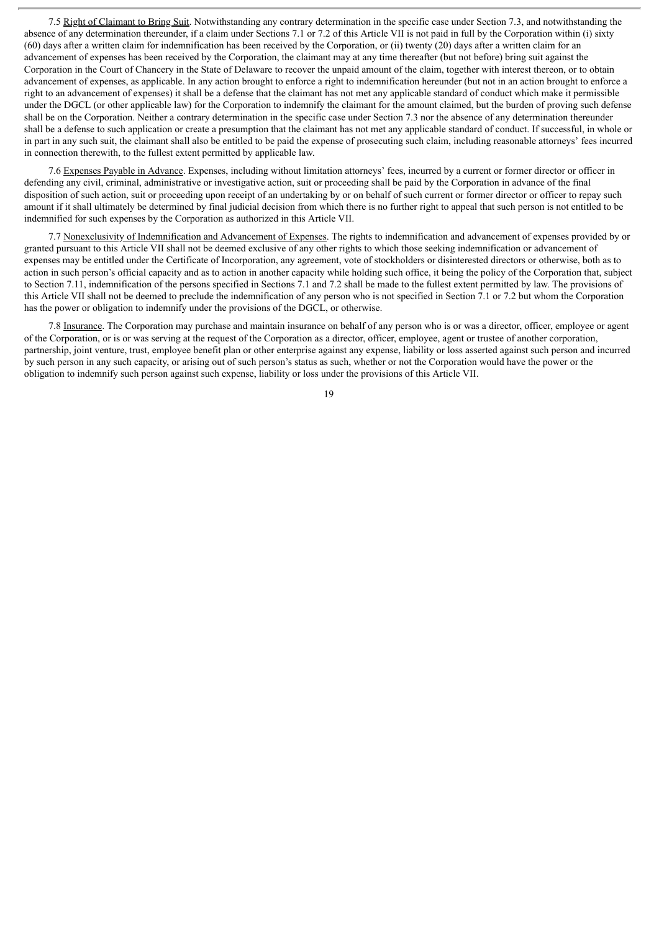7.5 Right of Claimant to Bring Suit. Notwithstanding any contrary determination in the specific case under Section 7.3, and notwithstanding the absence of any determination thereunder, if a claim under Sections 7.1 or 7.2 of this Article VII is not paid in full by the Corporation within (i) sixty (60) days after a written claim for indemnification has been received by the Corporation, or (ii) twenty (20) days after a written claim for an advancement of expenses has been received by the Corporation, the claimant may at any time thereafter (but not before) bring suit against the Corporation in the Court of Chancery in the State of Delaware to recover the unpaid amount of the claim, together with interest thereon, or to obtain advancement of expenses, as applicable. In any action brought to enforce a right to indemnification hereunder (but not in an action brought to enforce a right to an advancement of expenses) it shall be a defense that the claimant has not met any applicable standard of conduct which make it permissible under the DGCL (or other applicable law) for the Corporation to indemnify the claimant for the amount claimed, but the burden of proving such defense shall be on the Corporation. Neither a contrary determination in the specific case under Section 7.3 nor the absence of any determination thereunder shall be a defense to such application or create a presumption that the claimant has not met any applicable standard of conduct. If successful, in whole or in part in any such suit, the claimant shall also be entitled to be paid the expense of prosecuting such claim, including reasonable attorneys' fees incurred in connection therewith, to the fullest extent permitted by applicable law.

7.6 Expenses Payable in Advance. Expenses, including without limitation attorneys' fees, incurred by a current or former director or officer in defending any civil, criminal, administrative or investigative action, suit or proceeding shall be paid by the Corporation in advance of the final disposition of such action, suit or proceeding upon receipt of an undertaking by or on behalf of such current or former director or officer to repay such amount if it shall ultimately be determined by final judicial decision from which there is no further right to appeal that such person is not entitled to be indemnified for such expenses by the Corporation as authorized in this Article VII.

7.7 Nonexclusivity of Indemnification and Advancement of Expenses. The rights to indemnification and advancement of expenses provided by or granted pursuant to this Article VII shall not be deemed exclusive of any other rights to which those seeking indemnification or advancement of expenses may be entitled under the Certificate of Incorporation, any agreement, vote of stockholders or disinterested directors or otherwise, both as to action in such person's official capacity and as to action in another capacity while holding such office, it being the policy of the Corporation that, subject to Section 7.11, indemnification of the persons specified in Sections 7.1 and 7.2 shall be made to the fullest extent permitted by law. The provisions of this Article VII shall not be deemed to preclude the indemnification of any person who is not specified in Section 7.1 or 7.2 but whom the Corporation has the power or obligation to indemnify under the provisions of the DGCL, or otherwise.

7.8 Insurance. The Corporation may purchase and maintain insurance on behalf of any person who is or was a director, officer, employee or agent of the Corporation, or is or was serving at the request of the Corporation as a director, officer, employee, agent or trustee of another corporation, partnership, joint venture, trust, employee benefit plan or other enterprise against any expense, liability or loss asserted against such person and incurred by such person in any such capacity, or arising out of such person's status as such, whether or not the Corporation would have the power or the obligation to indemnify such person against such expense, liability or loss under the provisions of this Article VII.